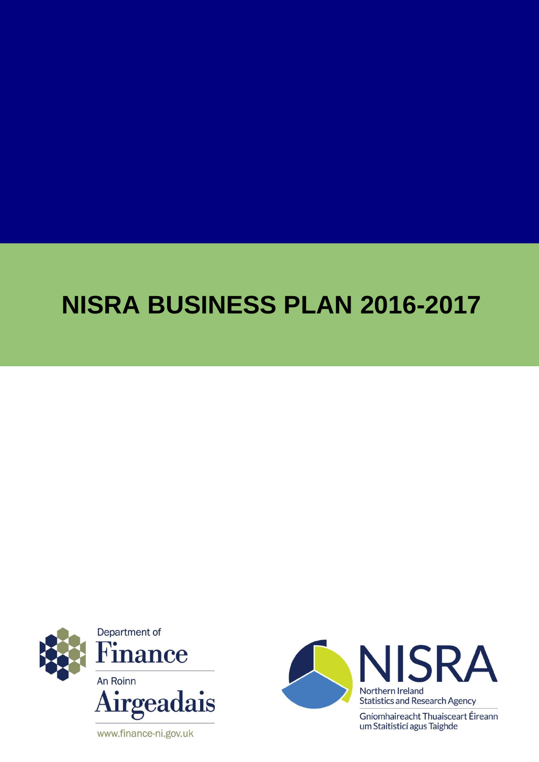# **NISRA BUSINESS PLAN 2016-2017**



www.finance-ni.gov.uk



Gníomhaireacht Thuaisceart Éireann um Staitisticí agus Taighde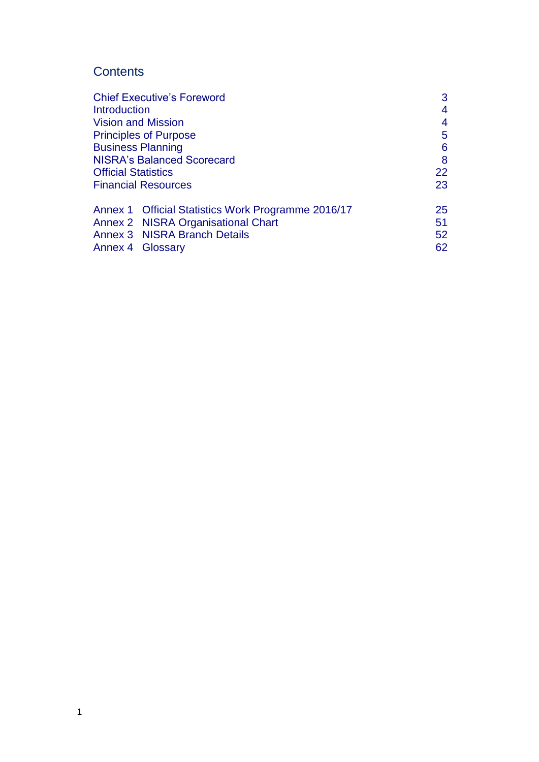## **Contents**

| 3               |
|-----------------|
| 4               |
| 4               |
| 5               |
| 6               |
| 8               |
| 22              |
| 23              |
| 25              |
| 51              |
| 52 <sub>2</sub> |
| 62              |
|                 |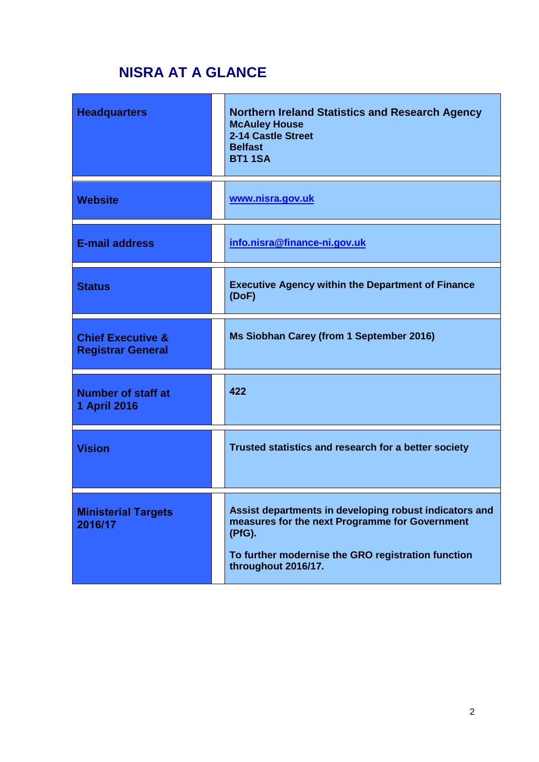# **NISRA AT A GLANCE**

| <b>Headquarters</b>                                      | <b>Northern Ireland Statistics and Research Agency</b><br><b>McAuley House</b><br>2-14 Castle Street<br><b>Belfast</b><br><b>BT1 1SA</b>                                                        |
|----------------------------------------------------------|-------------------------------------------------------------------------------------------------------------------------------------------------------------------------------------------------|
| <b>Website</b>                                           | www.nisra.gov.uk                                                                                                                                                                                |
| <b>E-mail address</b>                                    | info.nisra@finance-ni.gov.uk                                                                                                                                                                    |
| <b>Status</b>                                            | <b>Executive Agency within the Department of Finance</b><br>(DoF)                                                                                                                               |
| <b>Chief Executive &amp;</b><br><b>Registrar General</b> | Ms Siobhan Carey (from 1 September 2016)                                                                                                                                                        |
| <b>Number of staff at</b><br>1 April 2016                | 422                                                                                                                                                                                             |
| <b>Vision</b>                                            | Trusted statistics and research for a better society                                                                                                                                            |
| <b>Ministerial Targets</b><br>2016/17                    | Assist departments in developing robust indicators and<br>measures for the next Programme for Government<br>(PfG).<br>To further modernise the GRO registration function<br>throughout 2016/17. |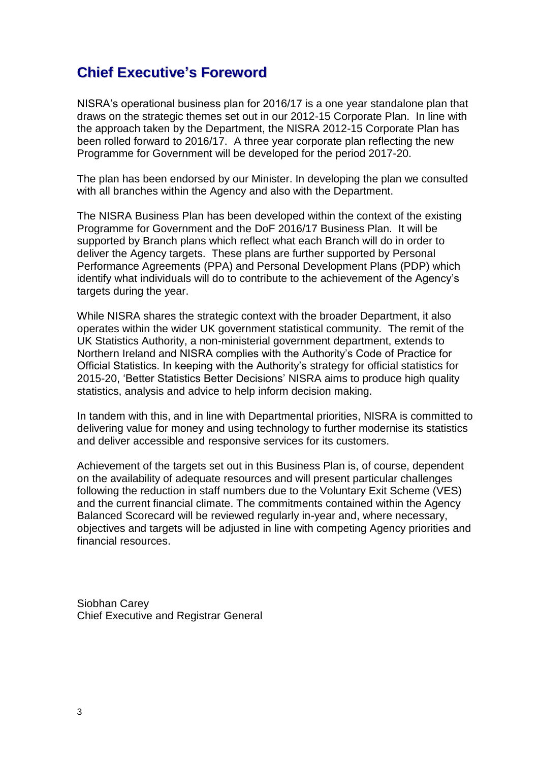# **Chief Executive's Foreword**

NISRA's operational business plan for 2016/17 is a one year standalone plan that draws on the strategic themes set out in our 2012-15 Corporate Plan. In line with the approach taken by the Department, the NISRA 2012-15 Corporate Plan has been rolled forward to 2016/17. A three year corporate plan reflecting the new Programme for Government will be developed for the period 2017-20.

The plan has been endorsed by our Minister. In developing the plan we consulted with all branches within the Agency and also with the Department.

The NISRA Business Plan has been developed within the context of the existing Programme for Government and the DoF 2016/17 Business Plan. It will be supported by Branch plans which reflect what each Branch will do in order to deliver the Agency targets. These plans are further supported by Personal Performance Agreements (PPA) and Personal Development Plans (PDP) which identify what individuals will do to contribute to the achievement of the Agency's targets during the year.

While NISRA shares the strategic context with the broader Department, it also operates within the wider UK government statistical community. The remit of the UK Statistics Authority, a non-ministerial government department, extends to Northern Ireland and NISRA complies with the Authority's Code of Practice for Official Statistics. In keeping with the Authority's strategy for official statistics for 2015-20, 'Better Statistics Better Decisions' NISRA aims to produce high quality statistics, analysis and advice to help inform decision making.

In tandem with this, and in line with Departmental priorities, NISRA is committed to delivering value for money and using technology to further modernise its statistics and deliver accessible and responsive services for its customers.

Achievement of the targets set out in this Business Plan is, of course, dependent on the availability of adequate resources and will present particular challenges following the reduction in staff numbers due to the Voluntary Exit Scheme (VES) and the current financial climate. The commitments contained within the Agency Balanced Scorecard will be reviewed regularly in-year and, where necessary, objectives and targets will be adjusted in line with competing Agency priorities and financial resources.

Siobhan Carey Chief Executive and Registrar General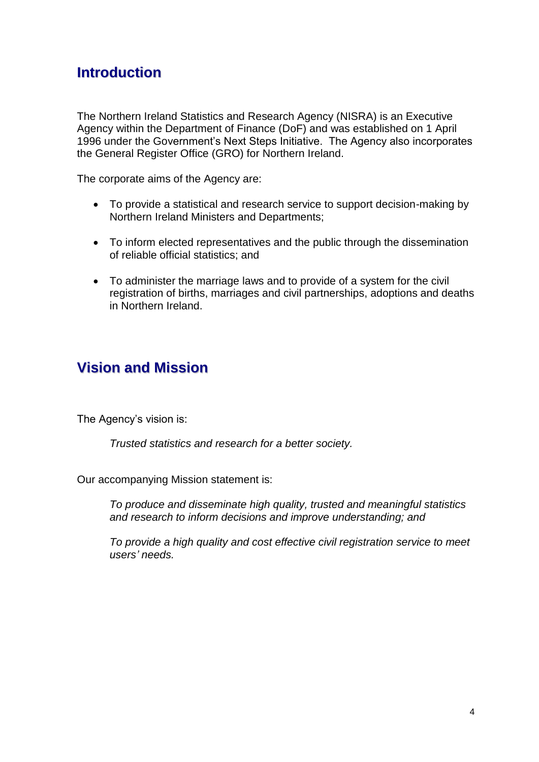# **Introduction**

The Northern Ireland Statistics and Research Agency (NISRA) is an Executive Agency within the Department of Finance (DoF) and was established on 1 April 1996 under the Government's Next Steps Initiative. The Agency also incorporates the General Register Office (GRO) for Northern Ireland.

The corporate aims of the Agency are:

- To provide a statistical and research service to support decision-making by Northern Ireland Ministers and Departments;
- To inform elected representatives and the public through the dissemination of reliable official statistics; and
- To administer the marriage laws and to provide of a system for the civil registration of births, marriages and civil partnerships, adoptions and deaths in Northern Ireland.

# **Vision and Mission**

The Agency's vision is:

*Trusted statistics and research for a better society.*

Our accompanying Mission statement is:

*To produce and disseminate high quality, trusted and meaningful statistics and research to inform decisions and improve understanding; and*

*To provide a high quality and cost effective civil registration service to meet users' needs.*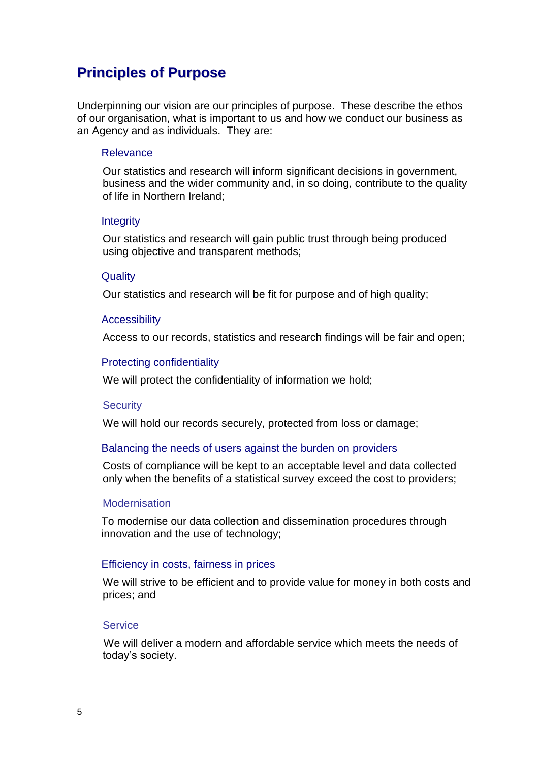# **Principles of Purpose**

Underpinning our vision are our principles of purpose. These describe the ethos of our organisation, what is important to us and how we conduct our business as an Agency and as individuals. They are:

#### Relevance

Our statistics and research will inform significant decisions in government, business and the wider community and, in so doing, contribute to the quality of life in Northern Ireland;

#### **Integrity**

Our statistics and research will gain public trust through being produced using objective and transparent methods;

#### **Quality**

Our statistics and research will be fit for purpose and of high quality;

#### **Accessibility**

Access to our records, statistics and research findings will be fair and open;

#### Protecting confidentiality

We will protect the confidentiality of information we hold;

#### **Security**

We will hold our records securely, protected from loss or damage;

#### Balancing the needs of users against the burden on providers

Costs of compliance will be kept to an acceptable level and data collected only when the benefits of a statistical survey exceed the cost to providers;

#### **Modernisation**

To modernise our data collection and dissemination procedures through innovation and the use of technology;

#### Efficiency in costs, fairness in prices

We will strive to be efficient and to provide value for money in both costs and prices; and

#### **Service**

We will deliver a modern and affordable service which meets the needs of today's society.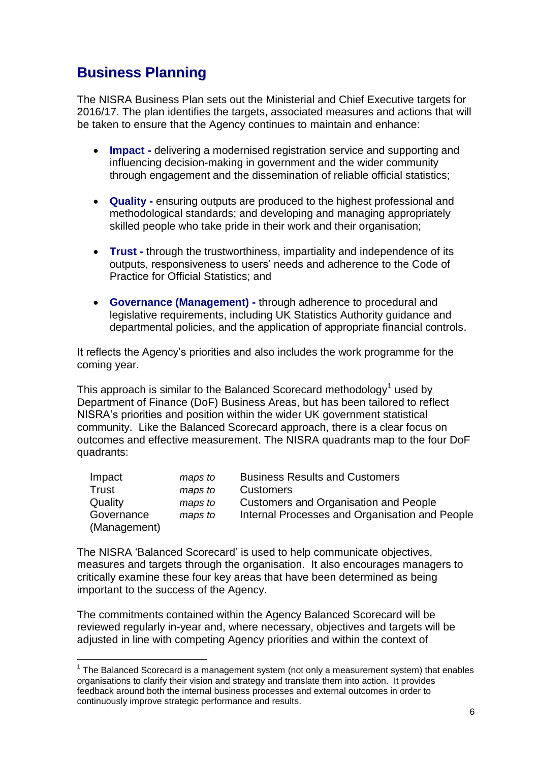# **Business Planning**

1

The NISRA Business Plan sets out the Ministerial and Chief Executive targets for 2016/17. The plan identifies the targets, associated measures and actions that will be taken to ensure that the Agency continues to maintain and enhance:

- **Impact -** delivering a modernised registration service and supporting and influencing decision-making in government and the wider community through engagement and the dissemination of reliable official statistics;
- **Quality -** ensuring outputs are produced to the highest professional and methodological standards; and developing and managing appropriately skilled people who take pride in their work and their organisation;
- **Trust -** through the trustworthiness, impartiality and independence of its outputs, responsiveness to users' needs and adherence to the Code of Practice for Official Statistics; and
- **Governance (Management) -** through adherence to procedural and legislative requirements, including UK Statistics Authority guidance and departmental policies, and the application of appropriate financial controls.

It reflects the Agency's priorities and also includes the work programme for the coming year.

This approach is similar to the Balanced Scorecard methodology<sup>1</sup> used by Department of Finance (DoF) Business Areas, but has been tailored to reflect NISRA's priorities and position within the wider UK government statistical community. Like the Balanced Scorecard approach, there is a clear focus on outcomes and effective measurement. The NISRA quadrants map to the four DoF quadrants:

| Impact       | maps to | <b>Business Results and Customers</b>          |
|--------------|---------|------------------------------------------------|
| Trust        | maps to | <b>Customers</b>                               |
| Quality      | maps to | <b>Customers and Organisation and People</b>   |
| Governance   | maps to | Internal Processes and Organisation and People |
| (Management) |         |                                                |

The NISRA 'Balanced Scorecard' is used to help communicate objectives, measures and targets through the organisation. It also encourages managers to critically examine these four key areas that have been determined as being important to the success of the Agency.

The commitments contained within the Agency Balanced Scorecard will be reviewed regularly in-year and, where necessary, objectives and targets will be adjusted in line with competing Agency priorities and within the context of

 $1$  The Balanced Scorecard is a management system (not only a measurement system) that enables organisations to clarify their vision and strategy and translate them into action. It provides feedback around both the internal business processes and external outcomes in order to continuously improve strategic performance and results.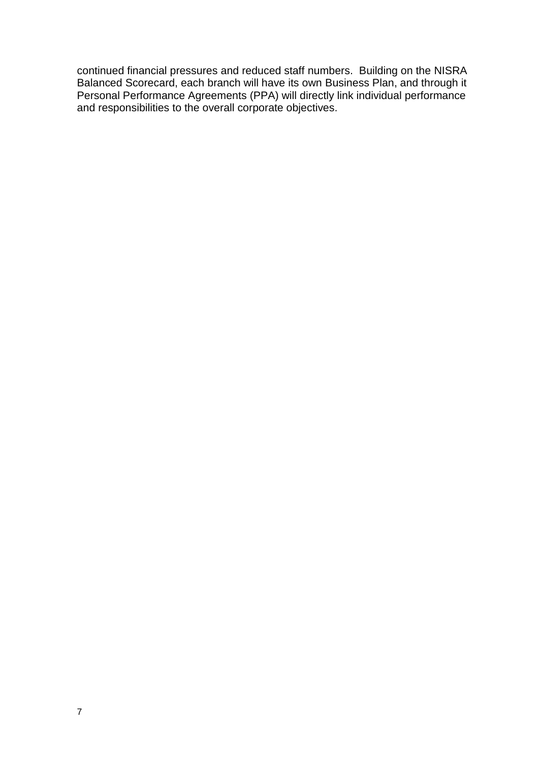continued financial pressures and reduced staff numbers. Building on the NISRA Balanced Scorecard, each branch will have its own Business Plan, and through it Personal Performance Agreements (PPA) will directly link individual performance and responsibilities to the overall corporate objectives.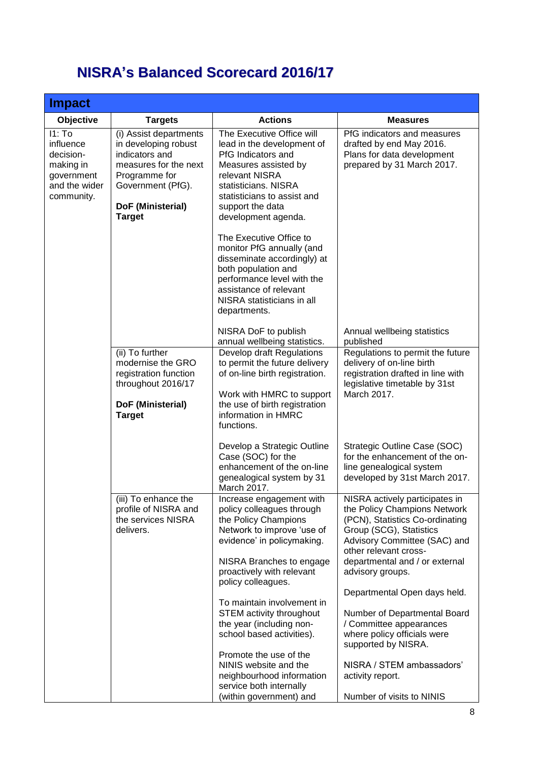# **NISRA's Balanced Scorecard 2016/17**

| <b>Impact</b>                                                                              |                                                                                                                                                                       |                                                                                                                                                                                                                           |                                                                                                                                                                                                                                             |
|--------------------------------------------------------------------------------------------|-----------------------------------------------------------------------------------------------------------------------------------------------------------------------|---------------------------------------------------------------------------------------------------------------------------------------------------------------------------------------------------------------------------|---------------------------------------------------------------------------------------------------------------------------------------------------------------------------------------------------------------------------------------------|
| <b>Objective</b>                                                                           | <b>Targets</b>                                                                                                                                                        | <b>Actions</b>                                                                                                                                                                                                            | <b>Measures</b>                                                                                                                                                                                                                             |
| 11: To<br>influence<br>decision-<br>making in<br>government<br>and the wider<br>community. | (i) Assist departments<br>in developing robust<br>indicators and<br>measures for the next<br>Programme for<br>Government (PfG).<br>DoF (Ministerial)<br><b>Target</b> | The Executive Office will<br>lead in the development of<br>PfG Indicators and<br>Measures assisted by<br>relevant NISRA<br>statisticians. NISRA<br>statisticians to assist and<br>support the data<br>development agenda. | PfG indicators and measures<br>drafted by end May 2016.<br>Plans for data development<br>prepared by 31 March 2017.                                                                                                                         |
|                                                                                            |                                                                                                                                                                       | The Executive Office to<br>monitor PfG annually (and<br>disseminate accordingly) at<br>both population and<br>performance level with the<br>assistance of relevant<br>NISRA statisticians in all<br>departments.          |                                                                                                                                                                                                                                             |
|                                                                                            |                                                                                                                                                                       | NISRA DoF to publish<br>annual wellbeing statistics.                                                                                                                                                                      | Annual wellbeing statistics<br>published                                                                                                                                                                                                    |
|                                                                                            | (ii) To further<br>modernise the GRO<br>registration function<br>throughout 2016/17<br>DoF (Ministerial)<br><b>Target</b>                                             | Develop draft Regulations<br>to permit the future delivery<br>of on-line birth registration.<br>Work with HMRC to support<br>the use of birth registration<br>information in HMRC<br>functions.                           | Regulations to permit the future<br>delivery of on-line birth<br>registration drafted in line with<br>legislative timetable by 31st<br>March 2017.                                                                                          |
|                                                                                            |                                                                                                                                                                       | Develop a Strategic Outline<br>Case (SOC) for the<br>enhancement of the on-line<br>genealogical system by 31<br>March 2017.                                                                                               | Strategic Outline Case (SOC)<br>for the enhancement of the on-<br>line genealogical system<br>developed by 31st March 2017.                                                                                                                 |
|                                                                                            | (iii) To enhance the<br>profile of NISRA and<br>the services NISRA<br>delivers.                                                                                       | Increase engagement with<br>policy colleagues through<br>the Policy Champions<br>Network to improve 'use of<br>evidence' in policymaking.<br>NISRA Branches to engage<br>proactively with relevant                        | NISRA actively participates in<br>the Policy Champions Network<br>(PCN), Statistics Co-ordinating<br>Group (SCG), Statistics<br>Advisory Committee (SAC) and<br>other relevant cross-<br>departmental and / or external<br>advisory groups. |
|                                                                                            |                                                                                                                                                                       | policy colleagues.<br>To maintain involvement in<br>STEM activity throughout<br>the year (including non-<br>school based activities).                                                                                     | Departmental Open days held.<br>Number of Departmental Board<br>/ Committee appearances<br>where policy officials were                                                                                                                      |
|                                                                                            |                                                                                                                                                                       | Promote the use of the<br>NINIS website and the<br>neighbourhood information<br>service both internally<br>(within government) and                                                                                        | supported by NISRA.<br>NISRA / STEM ambassadors'<br>activity report.<br>Number of visits to NINIS                                                                                                                                           |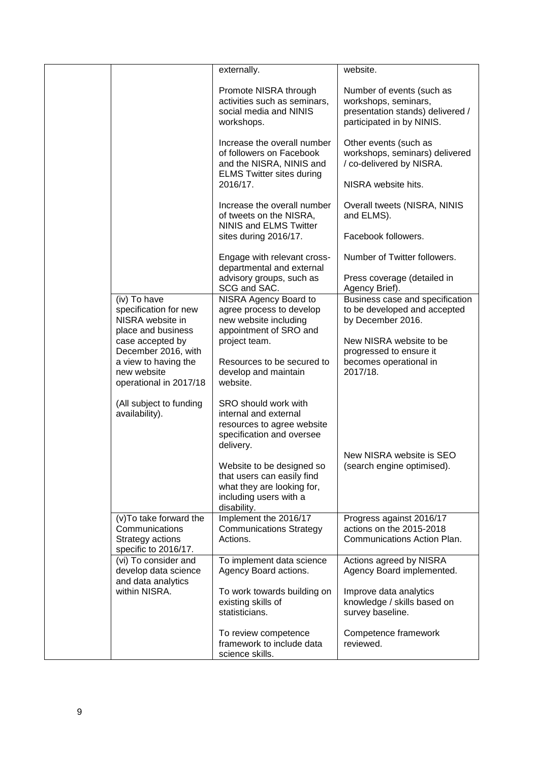|                                                                                       | externally.                                                                                                                    | website.                                                                                                           |
|---------------------------------------------------------------------------------------|--------------------------------------------------------------------------------------------------------------------------------|--------------------------------------------------------------------------------------------------------------------|
|                                                                                       | Promote NISRA through<br>activities such as seminars,<br>social media and NINIS<br>workshops.                                  | Number of events (such as<br>workshops, seminars,<br>presentation stands) delivered /<br>participated in by NINIS. |
|                                                                                       | Increase the overall number<br>of followers on Facebook<br>and the NISRA, NINIS and<br><b>ELMS Twitter sites during</b>        | Other events (such as<br>workshops, seminars) delivered<br>/ co-delivered by NISRA.                                |
|                                                                                       | 2016/17.                                                                                                                       | NISRA website hits.                                                                                                |
|                                                                                       | Increase the overall number<br>of tweets on the NISRA,<br><b>NINIS and ELMS Twitter</b>                                        | Overall tweets (NISRA, NINIS<br>and ELMS).                                                                         |
|                                                                                       | sites during 2016/17.                                                                                                          | Facebook followers.                                                                                                |
|                                                                                       | Engage with relevant cross-<br>departmental and external                                                                       | Number of Twitter followers.                                                                                       |
|                                                                                       | advisory groups, such as<br>SCG and SAC.                                                                                       | Press coverage (detailed in<br>Agency Brief).                                                                      |
| (iv) To have<br>specification for new<br>NISRA website in<br>place and business       | NISRA Agency Board to<br>agree process to develop<br>new website including<br>appointment of SRO and                           | Business case and specification<br>to be developed and accepted<br>by December 2016.                               |
| case accepted by<br>December 2016, with                                               | project team.                                                                                                                  | New NISRA website to be<br>progressed to ensure it                                                                 |
| a view to having the<br>new website<br>operational in 2017/18                         | Resources to be secured to<br>develop and maintain<br>website.                                                                 | becomes operational in<br>2017/18.                                                                                 |
| (All subject to funding<br>availability).                                             | SRO should work with<br>internal and external<br>resources to agree website<br>specification and oversee<br>delivery.          |                                                                                                                    |
|                                                                                       |                                                                                                                                | New NISRA website is SEO                                                                                           |
|                                                                                       | Website to be designed so<br>that users can easily find<br>what they are looking for,<br>including users with a<br>disability. | (search engine optimised).                                                                                         |
| (v) To take forward the<br>Communications<br>Strategy actions<br>specific to 2016/17. | Implement the 2016/17<br><b>Communications Strategy</b><br>Actions.                                                            | Progress against 2016/17<br>actions on the 2015-2018<br>Communications Action Plan.                                |
| (vi) To consider and<br>develop data science                                          | To implement data science<br>Agency Board actions.                                                                             | Actions agreed by NISRA<br>Agency Board implemented.                                                               |
| and data analytics<br>within NISRA.                                                   | To work towards building on<br>existing skills of<br>statisticians.                                                            | Improve data analytics<br>knowledge / skills based on<br>survey baseline.                                          |
|                                                                                       | To review competence<br>framework to include data<br>science skills.                                                           | Competence framework<br>reviewed.                                                                                  |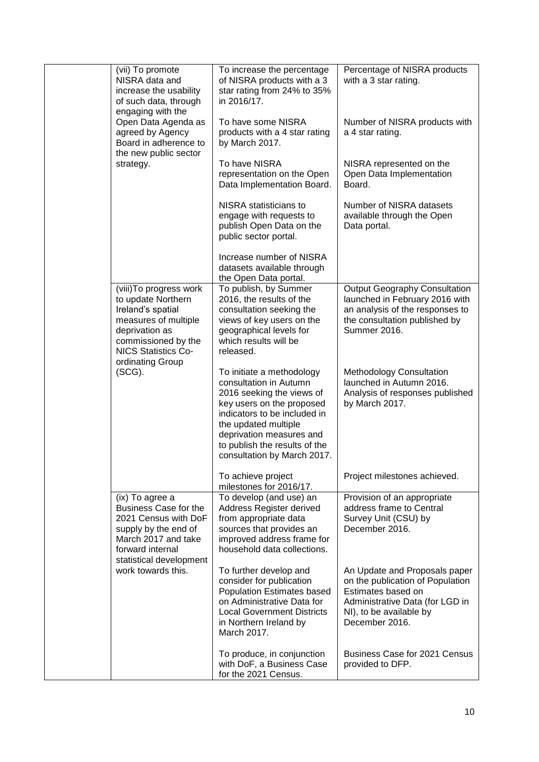| (vii) To promote<br>NISRA data and<br>increase the usability<br>of such data, through<br>engaging with the                                                                            | To increase the percentage<br>of NISRA products with a 3<br>star rating from 24% to 35%<br>in 2016/17.                                                                                                                                                            | Percentage of NISRA products<br>with a 3 star rating.                                                                                                                   |
|---------------------------------------------------------------------------------------------------------------------------------------------------------------------------------------|-------------------------------------------------------------------------------------------------------------------------------------------------------------------------------------------------------------------------------------------------------------------|-------------------------------------------------------------------------------------------------------------------------------------------------------------------------|
| Open Data Agenda as<br>agreed by Agency<br>Board in adherence to<br>the new public sector                                                                                             | To have some NISRA<br>products with a 4 star rating<br>by March 2017.                                                                                                                                                                                             | Number of NISRA products with<br>a 4 star rating.                                                                                                                       |
| strategy.                                                                                                                                                                             | To have NISRA<br>representation on the Open<br>Data Implementation Board.                                                                                                                                                                                         | NISRA represented on the<br>Open Data Implementation<br>Board.                                                                                                          |
|                                                                                                                                                                                       | NISRA statisticians to<br>engage with requests to<br>publish Open Data on the<br>public sector portal.                                                                                                                                                            | Number of NISRA datasets<br>available through the Open<br>Data portal.                                                                                                  |
|                                                                                                                                                                                       | Increase number of NISRA<br>datasets available through<br>the Open Data portal.                                                                                                                                                                                   |                                                                                                                                                                         |
| (viii) To progress work<br>to update Northern<br>Ireland's spatial<br>measures of multiple<br>deprivation as<br>commissioned by the<br><b>NICS Statistics Co-</b><br>ordinating Group | To publish, by Summer<br>2016, the results of the<br>consultation seeking the<br>views of key users on the<br>geographical levels for<br>which results will be<br>released.                                                                                       | <b>Output Geography Consultation</b><br>launched in February 2016 with<br>an analysis of the responses to<br>the consultation published by<br>Summer 2016.              |
| $(SCG)$ .                                                                                                                                                                             | To initiate a methodology<br>consultation in Autumn<br>2016 seeking the views of<br>key users on the proposed<br>indicators to be included in<br>the updated multiple<br>deprivation measures and<br>to publish the results of the<br>consultation by March 2017. | <b>Methodology Consultation</b><br>launched in Autumn 2016.<br>Analysis of responses published<br>by March 2017.                                                        |
|                                                                                                                                                                                       | To achieve project<br>milestones for 2016/17.                                                                                                                                                                                                                     | Project milestones achieved.                                                                                                                                            |
| (ix) To agree a<br><b>Business Case for the</b><br>2021 Census with DoF<br>supply by the end of<br>March 2017 and take<br>forward internal<br>statistical development                 | To develop (and use) an<br>Address Register derived<br>from appropriate data<br>sources that provides an<br>improved address frame for<br>household data collections.                                                                                             | Provision of an appropriate<br>address frame to Central<br>Survey Unit (CSU) by<br>December 2016.                                                                       |
| work towards this.                                                                                                                                                                    | To further develop and<br>consider for publication<br><b>Population Estimates based</b><br>on Administrative Data for<br><b>Local Government Districts</b><br>in Northern Ireland by<br>March 2017.                                                               | An Update and Proposals paper<br>on the publication of Population<br>Estimates based on<br>Administrative Data (for LGD in<br>NI), to be available by<br>December 2016. |
|                                                                                                                                                                                       | To produce, in conjunction<br>with DoF, a Business Case<br>for the 2021 Census.                                                                                                                                                                                   | Business Case for 2021 Census<br>provided to DFP.                                                                                                                       |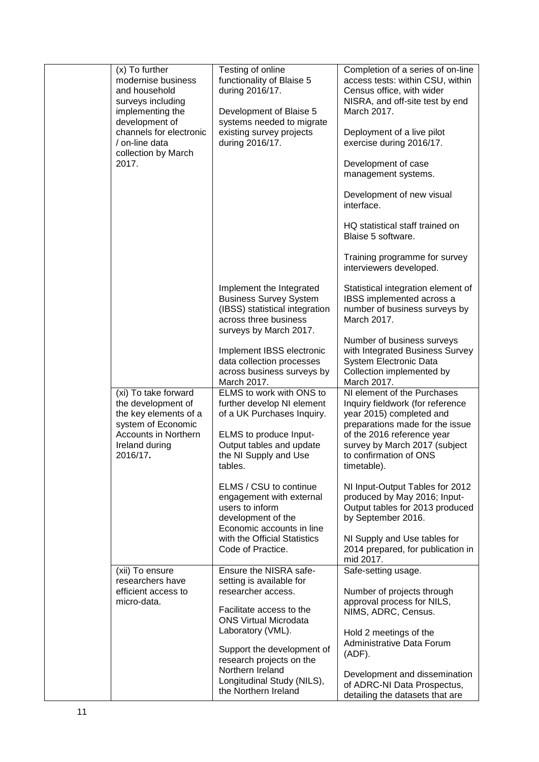| (x) To further<br>modernise business<br>and household<br>surveys including<br>implementing the<br>development of<br>channels for electronic<br>/ on-line data<br>collection by March<br>2017. | Testing of online<br>functionality of Blaise 5<br>during 2016/17.<br>Development of Blaise 5<br>systems needed to migrate<br>existing survey projects<br>during 2016/17.                                                                                                                                                                                        | Completion of a series of on-line<br>access tests: within CSU, within<br>Census office, with wider<br>NISRA, and off-site test by end<br>March 2017.<br>Deployment of a live pilot<br>exercise during 2016/17.<br>Development of case<br>management systems.<br>Development of new visual<br>interface.<br>HQ statistical staff trained on<br>Blaise 5 software.<br>Training programme for survey<br>interviewers developed.                         |
|-----------------------------------------------------------------------------------------------------------------------------------------------------------------------------------------------|-----------------------------------------------------------------------------------------------------------------------------------------------------------------------------------------------------------------------------------------------------------------------------------------------------------------------------------------------------------------|------------------------------------------------------------------------------------------------------------------------------------------------------------------------------------------------------------------------------------------------------------------------------------------------------------------------------------------------------------------------------------------------------------------------------------------------------|
|                                                                                                                                                                                               | Implement the Integrated<br><b>Business Survey System</b><br>(IBSS) statistical integration<br>across three business<br>surveys by March 2017.<br>Implement IBSS electronic<br>data collection processes<br>across business surveys by<br>March 2017.                                                                                                           | Statistical integration element of<br>IBSS implemented across a<br>number of business surveys by<br>March 2017.<br>Number of business surveys<br>with Integrated Business Survey<br>System Electronic Data<br>Collection implemented by<br>March 2017.                                                                                                                                                                                               |
| (xi) To take forward<br>the development of<br>the key elements of a<br>system of Economic<br><b>Accounts in Northern</b><br>Ireland during<br>2016/17.                                        | ELMS to work with ONS to<br>further develop NI element<br>of a UK Purchases Inquiry.<br>ELMS to produce Input-<br>Output tables and update<br>the NI Supply and Use<br>tables.<br>ELMS / CSU to continue<br>engagement with external<br>users to inform<br>development of the<br>Economic accounts in line<br>with the Official Statistics<br>Code of Practice. | NI element of the Purchases<br>Inquiry fieldwork (for reference<br>year 2015) completed and<br>preparations made for the issue<br>of the 2016 reference year<br>survey by March 2017 (subject<br>to confirmation of ONS<br>timetable).<br>NI Input-Output Tables for 2012<br>produced by May 2016; Input-<br>Output tables for 2013 produced<br>by September 2016.<br>NI Supply and Use tables for<br>2014 prepared, for publication in<br>mid 2017. |
| (xii) To ensure<br>researchers have<br>efficient access to<br>micro-data.                                                                                                                     | Ensure the NISRA safe-<br>setting is available for<br>researcher access.<br>Facilitate access to the<br><b>ONS Virtual Microdata</b><br>Laboratory (VML).<br>Support the development of<br>research projects on the<br>Northern Ireland<br>Longitudinal Study (NILS),<br>the Northern Ireland                                                                   | Safe-setting usage.<br>Number of projects through<br>approval process for NILS,<br>NIMS, ADRC, Census.<br>Hold 2 meetings of the<br>Administrative Data Forum<br>(ADF).<br>Development and dissemination<br>of ADRC-NI Data Prospectus,<br>detailing the datasets that are                                                                                                                                                                           |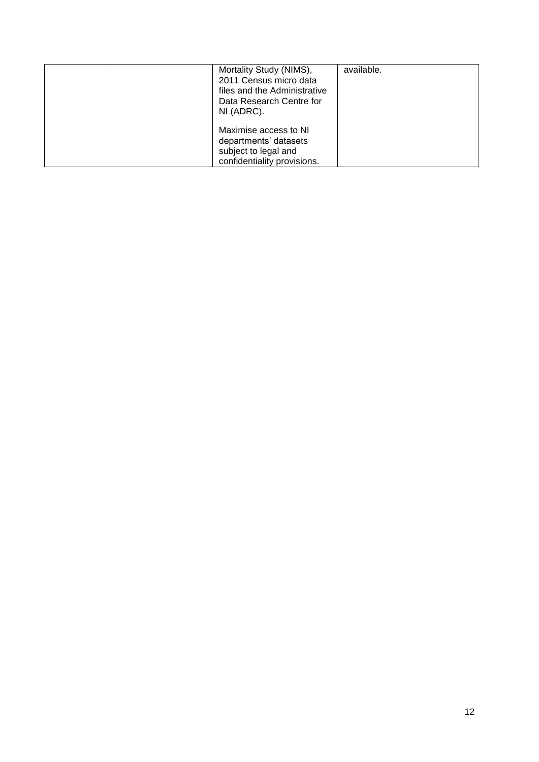|  | Mortality Study (NIMS),<br>2011 Census micro data<br>files and the Administrative<br>Data Research Centre for<br>NI (ADRC). | available. |
|--|-----------------------------------------------------------------------------------------------------------------------------|------------|
|  | Maximise access to NI<br>departments' datasets<br>subject to legal and<br>confidentiality provisions.                       |            |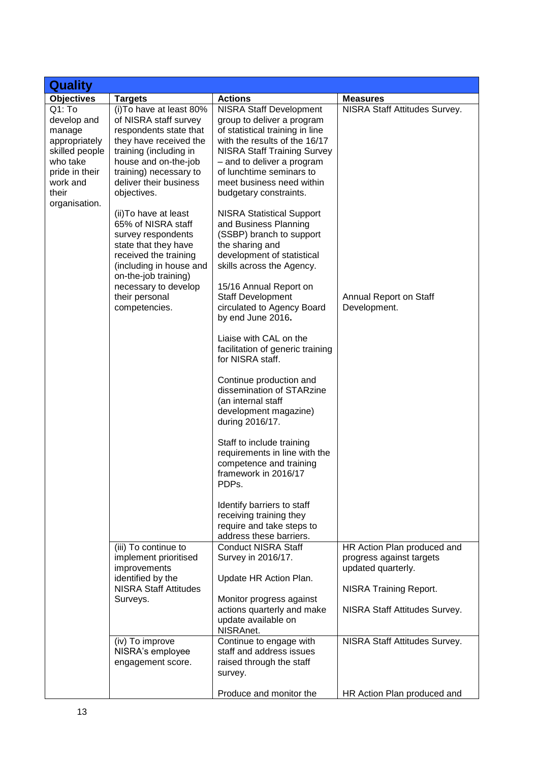| <b>Quality</b>                                                                                                                           |                                                                                                                                                                                                                                                                                                                                                                                                                                                                |                                                                                                                                                                                                                                                                                                                                                                                                                                                                                                                                                                                                                                                                                                                                                                                                                                                                                                                                                                                                                                |                                                                                                                                                 |
|------------------------------------------------------------------------------------------------------------------------------------------|----------------------------------------------------------------------------------------------------------------------------------------------------------------------------------------------------------------------------------------------------------------------------------------------------------------------------------------------------------------------------------------------------------------------------------------------------------------|--------------------------------------------------------------------------------------------------------------------------------------------------------------------------------------------------------------------------------------------------------------------------------------------------------------------------------------------------------------------------------------------------------------------------------------------------------------------------------------------------------------------------------------------------------------------------------------------------------------------------------------------------------------------------------------------------------------------------------------------------------------------------------------------------------------------------------------------------------------------------------------------------------------------------------------------------------------------------------------------------------------------------------|-------------------------------------------------------------------------------------------------------------------------------------------------|
| <b>Objectives</b>                                                                                                                        | <b>Targets</b>                                                                                                                                                                                                                                                                                                                                                                                                                                                 | <b>Actions</b>                                                                                                                                                                                                                                                                                                                                                                                                                                                                                                                                                                                                                                                                                                                                                                                                                                                                                                                                                                                                                 | <b>Measures</b>                                                                                                                                 |
| $Q1:$ To<br>develop and<br>manage<br>appropriately<br>skilled people<br>who take<br>pride in their<br>work and<br>their<br>organisation. | (i) To have at least 80%<br>of NISRA staff survey<br>respondents state that<br>they have received the<br>training (including in<br>house and on-the-job<br>training) necessary to<br>deliver their business<br>objectives.<br>(ii) To have at least<br>65% of NISRA staff<br>survey respondents<br>state that they have<br>received the training<br>(including in house and<br>on-the-job training)<br>necessary to develop<br>their personal<br>competencies. | <b>NISRA Staff Development</b><br>group to deliver a program<br>of statistical training in line<br>with the results of the 16/17<br><b>NISRA Staff Training Survey</b><br>- and to deliver a program<br>of lunchtime seminars to<br>meet business need within<br>budgetary constraints.<br><b>NISRA Statistical Support</b><br>and Business Planning<br>(SSBP) branch to support<br>the sharing and<br>development of statistical<br>skills across the Agency.<br>15/16 Annual Report on<br><b>Staff Development</b><br>circulated to Agency Board<br>by end June 2016.<br>Liaise with CAL on the<br>facilitation of generic training<br>for NISRA staff.<br>Continue production and<br>dissemination of STARzine<br>(an internal staff<br>development magazine)<br>during 2016/17.<br>Staff to include training<br>requirements in line with the<br>competence and training<br>framework in 2016/17<br>PDPs.<br>Identify barriers to staff<br>receiving training they<br>require and take steps to<br>address these barriers. | NISRA Staff Attitudes Survey.<br>Annual Report on Staff<br>Development.                                                                         |
|                                                                                                                                          | (iii) To continue to<br>implement prioritised<br>improvements<br>identified by the<br><b>NISRA Staff Attitudes</b><br>Surveys.                                                                                                                                                                                                                                                                                                                                 | <b>Conduct NISRA Staff</b><br>Survey in 2016/17.<br>Update HR Action Plan.<br>Monitor progress against<br>actions quarterly and make<br>update available on<br>NISRAnet.                                                                                                                                                                                                                                                                                                                                                                                                                                                                                                                                                                                                                                                                                                                                                                                                                                                       | HR Action Plan produced and<br>progress against targets<br>updated quarterly.<br><b>NISRA Training Report.</b><br>NISRA Staff Attitudes Survey. |
|                                                                                                                                          | (iv) To improve<br>NISRA's employee<br>engagement score.                                                                                                                                                                                                                                                                                                                                                                                                       | Continue to engage with<br>staff and address issues<br>raised through the staff<br>survey.                                                                                                                                                                                                                                                                                                                                                                                                                                                                                                                                                                                                                                                                                                                                                                                                                                                                                                                                     | NISRA Staff Attitudes Survey.                                                                                                                   |
|                                                                                                                                          |                                                                                                                                                                                                                                                                                                                                                                                                                                                                | Produce and monitor the                                                                                                                                                                                                                                                                                                                                                                                                                                                                                                                                                                                                                                                                                                                                                                                                                                                                                                                                                                                                        | HR Action Plan produced and                                                                                                                     |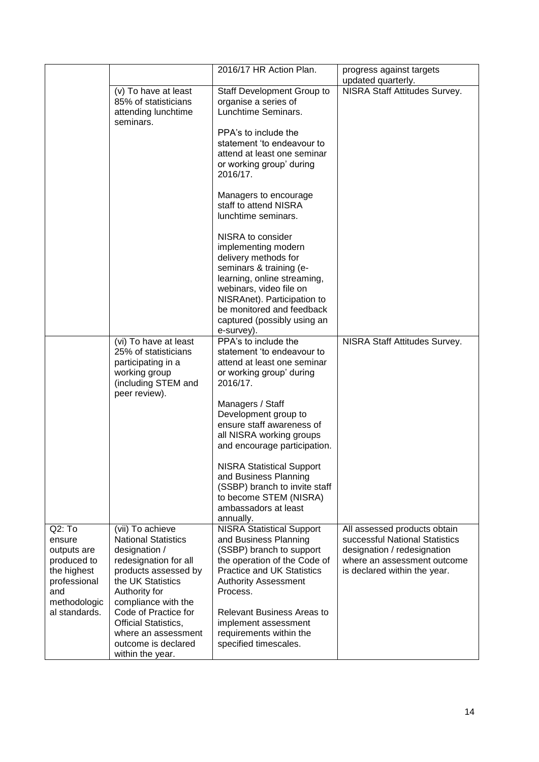|                                                                                     |                                                                                                                                                        | 2016/17 HR Action Plan.                                                                                                                                                                                                                                        | progress against targets<br>updated quarterly.                                                                                                               |
|-------------------------------------------------------------------------------------|--------------------------------------------------------------------------------------------------------------------------------------------------------|----------------------------------------------------------------------------------------------------------------------------------------------------------------------------------------------------------------------------------------------------------------|--------------------------------------------------------------------------------------------------------------------------------------------------------------|
|                                                                                     | (v) To have at least<br>85% of statisticians<br>attending lunchtime<br>seminars.                                                                       | <b>Staff Development Group to</b><br>organise a series of<br>Lunchtime Seminars.                                                                                                                                                                               | NISRA Staff Attitudes Survey.                                                                                                                                |
|                                                                                     |                                                                                                                                                        | PPA's to include the<br>statement 'to endeavour to<br>attend at least one seminar<br>or working group' during<br>2016/17.                                                                                                                                      |                                                                                                                                                              |
|                                                                                     |                                                                                                                                                        | Managers to encourage<br>staff to attend NISRA<br>lunchtime seminars.                                                                                                                                                                                          |                                                                                                                                                              |
|                                                                                     |                                                                                                                                                        | NISRA to consider<br>implementing modern<br>delivery methods for<br>seminars & training (e-<br>learning, online streaming,<br>webinars, video file on<br>NISRAnet). Participation to<br>be monitored and feedback<br>captured (possibly using an<br>e-survey). |                                                                                                                                                              |
|                                                                                     | (vi) To have at least<br>25% of statisticians<br>participating in a<br>working group<br>(including STEM and<br>peer review).                           | PPA's to include the<br>statement 'to endeavour to<br>attend at least one seminar<br>or working group' during<br>2016/17.                                                                                                                                      | NISRA Staff Attitudes Survey.                                                                                                                                |
|                                                                                     |                                                                                                                                                        | Managers / Staff<br>Development group to<br>ensure staff awareness of<br>all NISRA working groups<br>and encourage participation.                                                                                                                              |                                                                                                                                                              |
|                                                                                     |                                                                                                                                                        | <b>NISRA Statistical Support</b><br>and Business Planning<br>(SSBP) branch to invite staff<br>to become STEM (NISRA)<br>ambassadors at least<br>annually.                                                                                                      |                                                                                                                                                              |
| Q2:To<br>ensure<br>outputs are<br>produced to<br>the highest<br>professional<br>and | (vii) To achieve<br><b>National Statistics</b><br>designation /<br>redesignation for all<br>products assessed by<br>the UK Statistics<br>Authority for | <b>NISRA Statistical Support</b><br>and Business Planning<br>(SSBP) branch to support<br>the operation of the Code of<br><b>Practice and UK Statistics</b><br><b>Authority Assessment</b><br>Process.                                                          | All assessed products obtain<br>successful National Statistics<br>designation / redesignation<br>where an assessment outcome<br>is declared within the year. |
| methodologic<br>al standards.                                                       | compliance with the<br>Code of Practice for<br><b>Official Statistics,</b><br>where an assessment<br>outcome is declared<br>within the year.           | <b>Relevant Business Areas to</b><br>implement assessment<br>requirements within the<br>specified timescales.                                                                                                                                                  |                                                                                                                                                              |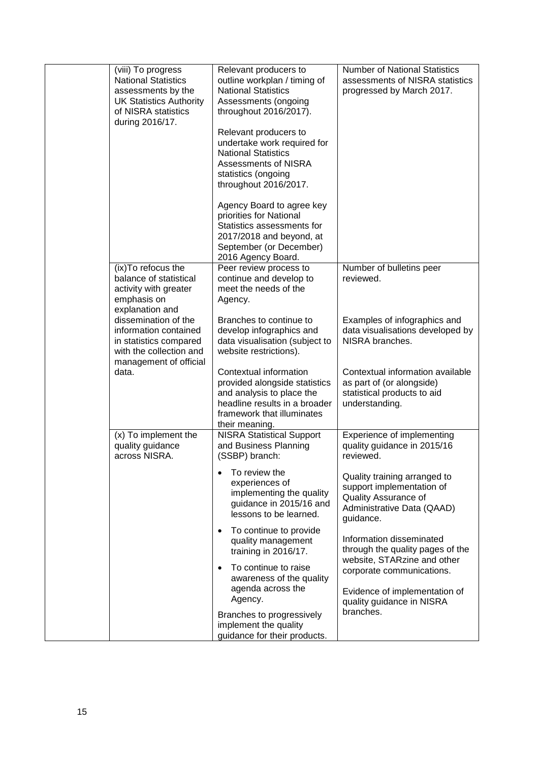| (viii) To progress<br><b>National Statistics</b><br>assessments by the<br><b>UK Statistics Authority</b><br>of NISRA statistics<br>during 2016/17.                                                                                       | Relevant producers to<br>outline workplan / timing of<br><b>National Statistics</b><br>Assessments (ongoing<br>throughout 2016/2017).<br>Relevant producers to<br>undertake work required for<br><b>National Statistics</b><br>Assessments of NISRA<br>statistics (ongoing<br>throughout 2016/2017.<br>Agency Board to agree key<br>priorities for National<br>Statistics assessments for<br>2017/2018 and beyond, at<br>September (or December) | <b>Number of National Statistics</b><br>assessments of NISRA statistics<br>progressed by March 2017.                                                                                   |
|------------------------------------------------------------------------------------------------------------------------------------------------------------------------------------------------------------------------------------------|--------------------------------------------------------------------------------------------------------------------------------------------------------------------------------------------------------------------------------------------------------------------------------------------------------------------------------------------------------------------------------------------------------------------------------------------------|----------------------------------------------------------------------------------------------------------------------------------------------------------------------------------------|
| (ix) To refocus the<br>balance of statistical<br>activity with greater<br>emphasis on<br>explanation and<br>dissemination of the<br>information contained<br>in statistics compared<br>with the collection and<br>management of official | 2016 Agency Board.<br>Peer review process to<br>continue and develop to<br>meet the needs of the<br>Agency.<br>Branches to continue to<br>develop infographics and<br>data visualisation (subject to<br>website restrictions).                                                                                                                                                                                                                   | Number of bulletins peer<br>reviewed.<br>Examples of infographics and<br>data visualisations developed by<br>NISRA branches.                                                           |
| data.                                                                                                                                                                                                                                    | Contextual information<br>provided alongside statistics<br>and analysis to place the<br>headline results in a broader<br>framework that illuminates<br>their meaning.                                                                                                                                                                                                                                                                            | Contextual information available<br>as part of (or alongside)<br>statistical products to aid<br>understanding.                                                                         |
| (x) To implement the<br>quality guidance<br>across NISRA.                                                                                                                                                                                | <b>NISRA Statistical Support</b><br>and Business Planning<br>(SSBP) branch:                                                                                                                                                                                                                                                                                                                                                                      | Experience of implementing<br>quality guidance in 2015/16<br>reviewed.                                                                                                                 |
|                                                                                                                                                                                                                                          | To review the<br>$\bullet$<br>experiences of<br>implementing the quality<br>guidance in 2015/16 and<br>lessons to be learned.                                                                                                                                                                                                                                                                                                                    | Quality training arranged to<br>support implementation of<br>Quality Assurance of<br>Administrative Data (QAAD)<br>guidance.                                                           |
|                                                                                                                                                                                                                                          | To continue to provide<br>$\bullet$<br>quality management<br>training in 2016/17.<br>To continue to raise<br>$\bullet$<br>awareness of the quality<br>agenda across the<br>Agency.                                                                                                                                                                                                                                                               | Information disseminated<br>through the quality pages of the<br>website, STARzine and other<br>corporate communications.<br>Evidence of implementation of<br>quality guidance in NISRA |
|                                                                                                                                                                                                                                          | Branches to progressively<br>implement the quality<br>guidance for their products.                                                                                                                                                                                                                                                                                                                                                               | branches.                                                                                                                                                                              |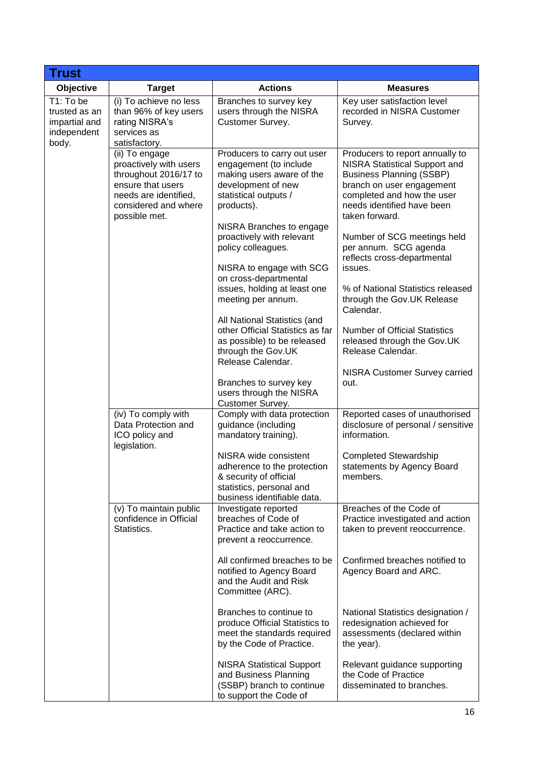| <b>Trust</b>                                                        |                                                                                                                                                          |                                                                                                                                                                                                                                                                                     |                                                                                                                                                                                                                                                                                                                         |
|---------------------------------------------------------------------|----------------------------------------------------------------------------------------------------------------------------------------------------------|-------------------------------------------------------------------------------------------------------------------------------------------------------------------------------------------------------------------------------------------------------------------------------------|-------------------------------------------------------------------------------------------------------------------------------------------------------------------------------------------------------------------------------------------------------------------------------------------------------------------------|
| Objective                                                           | <b>Target</b>                                                                                                                                            | <b>Actions</b>                                                                                                                                                                                                                                                                      | <b>Measures</b>                                                                                                                                                                                                                                                                                                         |
| T1: To be<br>trusted as an<br>impartial and<br>independent<br>body. | (i) To achieve no less<br>than 96% of key users<br>rating NISRA's<br>services as<br>satisfactory.                                                        | Branches to survey key<br>users through the NISRA<br>Customer Survey.                                                                                                                                                                                                               | Key user satisfaction level<br>recorded in NISRA Customer<br>Survey.                                                                                                                                                                                                                                                    |
|                                                                     | (ii) To engage<br>proactively with users<br>throughout 2016/17 to<br>ensure that users<br>needs are identified,<br>considered and where<br>possible met. | Producers to carry out user<br>engagement (to include<br>making users aware of the<br>development of new<br>statistical outputs /<br>products).<br>NISRA Branches to engage<br>proactively with relevant<br>policy colleagues.<br>NISRA to engage with SCG<br>on cross-departmental | Producers to report annually to<br><b>NISRA Statistical Support and</b><br><b>Business Planning (SSBP)</b><br>branch on user engagement<br>completed and how the user<br>needs identified have been<br>taken forward.<br>Number of SCG meetings held<br>per annum. SCG agenda<br>reflects cross-departmental<br>issues. |
|                                                                     |                                                                                                                                                          | issues, holding at least one<br>meeting per annum.<br>All National Statistics (and                                                                                                                                                                                                  | % of National Statistics released<br>through the Gov.UK Release<br>Calendar.                                                                                                                                                                                                                                            |
|                                                                     |                                                                                                                                                          | other Official Statistics as far<br>as possible) to be released<br>through the Gov.UK<br>Release Calendar.                                                                                                                                                                          | <b>Number of Official Statistics</b><br>released through the Gov.UK<br>Release Calendar.                                                                                                                                                                                                                                |
|                                                                     |                                                                                                                                                          | Branches to survey key<br>users through the NISRA<br>Customer Survey.                                                                                                                                                                                                               | NISRA Customer Survey carried<br>out.                                                                                                                                                                                                                                                                                   |
|                                                                     | (iv) To comply with<br>Data Protection and<br>ICO policy and<br>legislation.                                                                             | Comply with data protection<br>guidance (including<br>mandatory training).                                                                                                                                                                                                          | Reported cases of unauthorised<br>disclosure of personal / sensitive<br>information.                                                                                                                                                                                                                                    |
|                                                                     |                                                                                                                                                          | NISRA wide consistent<br>adherence to the protection<br>& security of official<br>statistics, personal and<br>business identifiable data.                                                                                                                                           | <b>Completed Stewardship</b><br>statements by Agency Board<br>members.                                                                                                                                                                                                                                                  |
|                                                                     | (v) To maintain public<br>confidence in Official<br>Statistics.                                                                                          | Investigate reported<br>breaches of Code of<br>Practice and take action to<br>prevent a reoccurrence.                                                                                                                                                                               | Breaches of the Code of<br>Practice investigated and action<br>taken to prevent reoccurrence.                                                                                                                                                                                                                           |
|                                                                     |                                                                                                                                                          | All confirmed breaches to be<br>notified to Agency Board<br>and the Audit and Risk<br>Committee (ARC).                                                                                                                                                                              | Confirmed breaches notified to<br>Agency Board and ARC.                                                                                                                                                                                                                                                                 |
|                                                                     |                                                                                                                                                          | Branches to continue to<br>produce Official Statistics to<br>meet the standards required<br>by the Code of Practice.                                                                                                                                                                | National Statistics designation /<br>redesignation achieved for<br>assessments (declared within<br>the year).                                                                                                                                                                                                           |
|                                                                     |                                                                                                                                                          | <b>NISRA Statistical Support</b><br>and Business Planning<br>(SSBP) branch to continue<br>to support the Code of                                                                                                                                                                    | Relevant guidance supporting<br>the Code of Practice<br>disseminated to branches.                                                                                                                                                                                                                                       |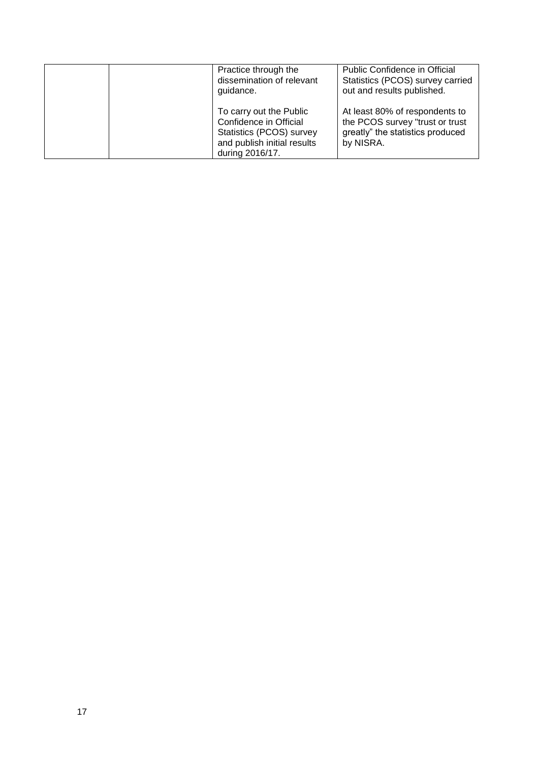|  | Practice through the<br>dissemination of relevant<br>guidance.                                                                  | Public Confidence in Official<br>Statistics (PCOS) survey carried<br>out and results published.                    |
|--|---------------------------------------------------------------------------------------------------------------------------------|--------------------------------------------------------------------------------------------------------------------|
|  | To carry out the Public<br>Confidence in Official<br>Statistics (PCOS) survey<br>and publish initial results<br>during 2016/17. | At least 80% of respondents to<br>the PCOS survey "trust or trust<br>greatly" the statistics produced<br>by NISRA. |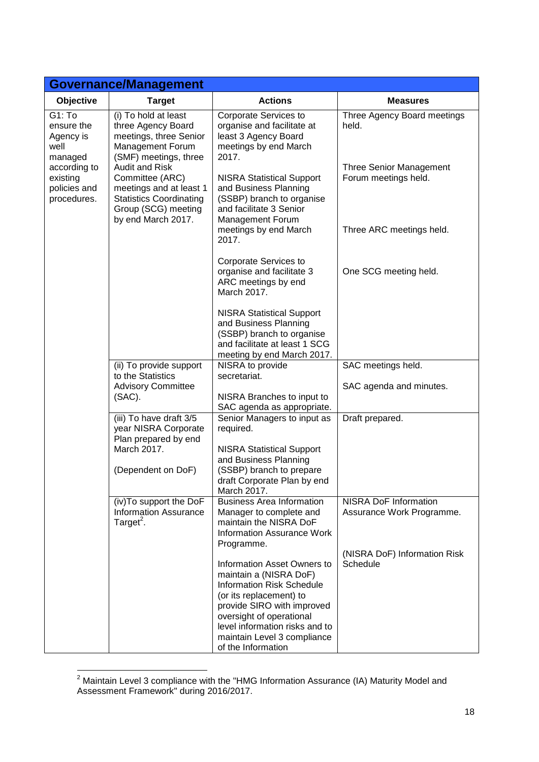| <b>Governance/Management</b>                                                                                    |                                                                                                                                             |                                                                                                                                                                                                                                                                                            |                                                        |
|-----------------------------------------------------------------------------------------------------------------|---------------------------------------------------------------------------------------------------------------------------------------------|--------------------------------------------------------------------------------------------------------------------------------------------------------------------------------------------------------------------------------------------------------------------------------------------|--------------------------------------------------------|
| Objective                                                                                                       | <b>Target</b>                                                                                                                               | <b>Actions</b>                                                                                                                                                                                                                                                                             | <b>Measures</b>                                        |
| G1: To<br>ensure the<br>Agency is<br>well<br>managed<br>according to<br>existing<br>policies and<br>procedures. | (i) To hold at least<br>three Agency Board<br>meetings, three Senior<br>Management Forum<br>(SMF) meetings, three                           | Corporate Services to<br>organise and facilitate at<br>least 3 Agency Board<br>meetings by end March<br>2017.                                                                                                                                                                              | Three Agency Board meetings<br>held.                   |
|                                                                                                                 | Audit and Risk<br>Committee (ARC)<br>meetings and at least 1<br><b>Statistics Coordinating</b><br>Group (SCG) meeting<br>by end March 2017. | <b>NISRA Statistical Support</b><br>and Business Planning<br>(SSBP) branch to organise<br>and facilitate 3 Senior<br>Management Forum                                                                                                                                                      | <b>Three Senior Management</b><br>Forum meetings held. |
|                                                                                                                 |                                                                                                                                             | meetings by end March<br>2017.                                                                                                                                                                                                                                                             | Three ARC meetings held.                               |
|                                                                                                                 |                                                                                                                                             | Corporate Services to<br>organise and facilitate 3<br>ARC meetings by end<br>March 2017.                                                                                                                                                                                                   | One SCG meeting held.                                  |
|                                                                                                                 |                                                                                                                                             | <b>NISRA Statistical Support</b><br>and Business Planning<br>(SSBP) branch to organise<br>and facilitate at least 1 SCG<br>meeting by end March 2017.                                                                                                                                      |                                                        |
|                                                                                                                 | (ii) To provide support<br>to the Statistics                                                                                                | NISRA to provide<br>secretariat.                                                                                                                                                                                                                                                           | SAC meetings held.                                     |
|                                                                                                                 | <b>Advisory Committee</b><br>(SAC).                                                                                                         | NISRA Branches to input to<br>SAC agenda as appropriate.                                                                                                                                                                                                                                   | SAC agenda and minutes.                                |
|                                                                                                                 | (iii) To have draft 3/5<br>year NISRA Corporate<br>Plan prepared by end<br>March 2017.                                                      | Senior Managers to input as<br>required.<br><b>NISRA Statistical Support</b>                                                                                                                                                                                                               | Draft prepared.                                        |
|                                                                                                                 | (Dependent on DoF)                                                                                                                          | and Business Planning<br>(SSBP) branch to prepare<br>draft Corporate Plan by end<br>March 2017.                                                                                                                                                                                            |                                                        |
|                                                                                                                 | (iv) To support the DoF<br><b>Information Assurance</b><br>Target <sup>2</sup> .                                                            | <b>Business Area Information</b><br>Manager to complete and<br>maintain the NISRA DoF<br><b>Information Assurance Work</b>                                                                                                                                                                 | NISRA DoF Information<br>Assurance Work Programme.     |
|                                                                                                                 |                                                                                                                                             | Programme.<br><b>Information Asset Owners to</b><br>maintain a (NISRA DoF)<br><b>Information Risk Schedule</b><br>(or its replacement) to<br>provide SIRO with improved<br>oversight of operational<br>level information risks and to<br>maintain Level 3 compliance<br>of the Information | (NISRA DoF) Information Risk<br>Schedule               |

<sup>&</sup>lt;u>.</u>  $2$  Maintain Level 3 compliance with the "HMG Information Assurance (IA) Maturity Model and Assessment Framework" during 2016/2017.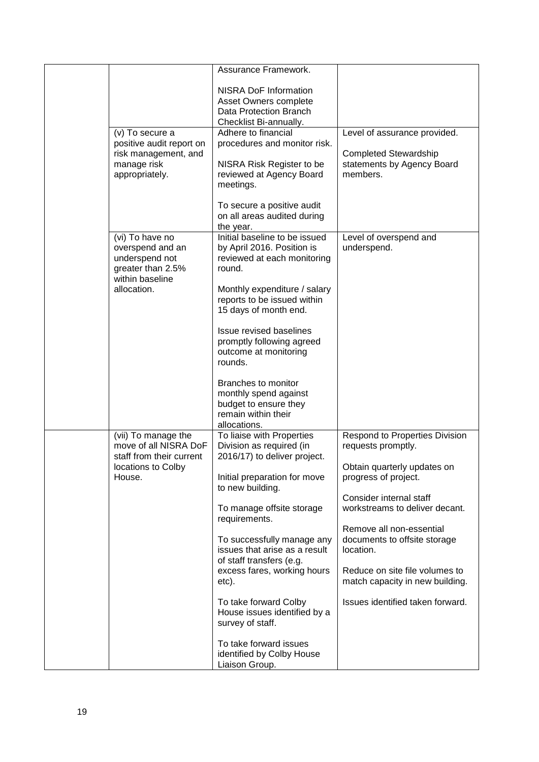|                                                                                                              | Assurance Framework.                                                                                                                                                                         |                                                                                                        |
|--------------------------------------------------------------------------------------------------------------|----------------------------------------------------------------------------------------------------------------------------------------------------------------------------------------------|--------------------------------------------------------------------------------------------------------|
|                                                                                                              | <b>NISRA DoF Information</b><br>Asset Owners complete<br>Data Protection Branch<br>Checklist Bi-annually.                                                                                    |                                                                                                        |
| (v) To secure a<br>positive audit report on<br>risk management, and<br>manage risk<br>appropriately.         | Adhere to financial<br>procedures and monitor risk.<br>NISRA Risk Register to be<br>reviewed at Agency Board<br>meetings.<br>To secure a positive audit                                      | Level of assurance provided.<br><b>Completed Stewardship</b><br>statements by Agency Board<br>members. |
|                                                                                                              | on all areas audited during<br>the year.                                                                                                                                                     |                                                                                                        |
| (vi) To have no<br>overspend and an<br>underspend not<br>greater than 2.5%<br>within baseline<br>allocation. | Initial baseline to be issued<br>by April 2016. Position is<br>reviewed at each monitoring<br>round.<br>Monthly expenditure / salary<br>reports to be issued within<br>15 days of month end. | Level of overspend and<br>underspend.                                                                  |
|                                                                                                              | <b>Issue revised baselines</b><br>promptly following agreed<br>outcome at monitoring<br>rounds.                                                                                              |                                                                                                        |
|                                                                                                              | Branches to monitor<br>monthly spend against<br>budget to ensure they<br>remain within their<br>allocations.                                                                                 |                                                                                                        |
| (vii) To manage the<br>move of all NISRA DoF<br>staff from their current                                     | To liaise with Properties<br>Division as required (in<br>2016/17) to deliver project.                                                                                                        | <b>Respond to Properties Division</b><br>requests promptly.                                            |
| locations to Colby<br>House.                                                                                 | Initial preparation for move<br>to new building.                                                                                                                                             | Obtain quarterly updates on<br>progress of project.<br>Consider internal staff                         |
|                                                                                                              | To manage offsite storage<br>requirements.                                                                                                                                                   | workstreams to deliver decant.                                                                         |
|                                                                                                              | To successfully manage any<br>issues that arise as a result<br>of staff transfers (e.g.                                                                                                      | Remove all non-essential<br>documents to offsite storage<br>location.                                  |
|                                                                                                              | excess fares, working hours<br>etc).                                                                                                                                                         | Reduce on site file volumes to<br>match capacity in new building.                                      |
|                                                                                                              | To take forward Colby<br>House issues identified by a<br>survey of staff.                                                                                                                    | Issues identified taken forward.                                                                       |
|                                                                                                              | To take forward issues<br>identified by Colby House<br>Liaison Group.                                                                                                                        |                                                                                                        |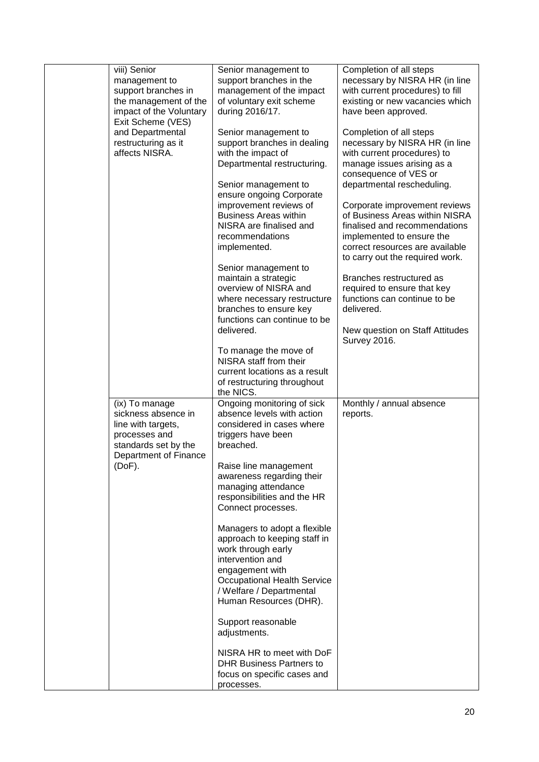| viii) Senior<br>management to<br>support branches in<br>the management of the<br>impact of the Voluntary<br>Exit Scheme (VES) | Senior management to<br>support branches in the<br>management of the impact<br>of voluntary exit scheme<br>during 2016/17.                                                                                            | Completion of all steps<br>necessary by NISRA HR (in line<br>with current procedures) to fill<br>existing or new vacancies which<br>have been approved.     |
|-------------------------------------------------------------------------------------------------------------------------------|-----------------------------------------------------------------------------------------------------------------------------------------------------------------------------------------------------------------------|-------------------------------------------------------------------------------------------------------------------------------------------------------------|
| and Departmental<br>restructuring as it<br>affects NISRA.                                                                     | Senior management to<br>support branches in dealing<br>with the impact of<br>Departmental restructuring.                                                                                                              | Completion of all steps<br>necessary by NISRA HR (in line<br>with current procedures) to<br>manage issues arising as a<br>consequence of VES or             |
|                                                                                                                               | Senior management to<br>ensure ongoing Corporate<br>improvement reviews of<br><b>Business Areas within</b><br>NISRA are finalised and<br>recommendations                                                              | departmental rescheduling.<br>Corporate improvement reviews<br>of Business Areas within NISRA<br>finalised and recommendations<br>implemented to ensure the |
|                                                                                                                               | implemented.                                                                                                                                                                                                          | correct resources are available<br>to carry out the required work.                                                                                          |
|                                                                                                                               | Senior management to<br>maintain a strategic<br>overview of NISRA and<br>where necessary restructure<br>branches to ensure key<br>functions can continue to be                                                        | Branches restructured as<br>required to ensure that key<br>functions can continue to be<br>delivered.                                                       |
|                                                                                                                               | delivered.                                                                                                                                                                                                            | New question on Staff Attitudes<br><b>Survey 2016.</b>                                                                                                      |
|                                                                                                                               | To manage the move of<br>NISRA staff from their<br>current locations as a result<br>of restructuring throughout<br>the NICS.                                                                                          |                                                                                                                                                             |
| (ix) To manage<br>sickness absence in<br>line with targets,<br>processes and<br>standards set by the                          | Ongoing monitoring of sick<br>absence levels with action<br>considered in cases where<br>triggers have been<br>breached.                                                                                              | Monthly / annual absence<br>reports.                                                                                                                        |
| Department of Finance<br>(DoF).                                                                                               | Raise line management<br>awareness regarding their<br>managing attendance<br>responsibilities and the HR<br>Connect processes.                                                                                        |                                                                                                                                                             |
|                                                                                                                               | Managers to adopt a flexible<br>approach to keeping staff in<br>work through early<br>intervention and<br>engagement with<br><b>Occupational Health Service</b><br>/ Welfare / Departmental<br>Human Resources (DHR). |                                                                                                                                                             |
|                                                                                                                               | Support reasonable<br>adjustments.                                                                                                                                                                                    |                                                                                                                                                             |
|                                                                                                                               | NISRA HR to meet with DoF<br><b>DHR Business Partners to</b><br>focus on specific cases and<br>processes.                                                                                                             |                                                                                                                                                             |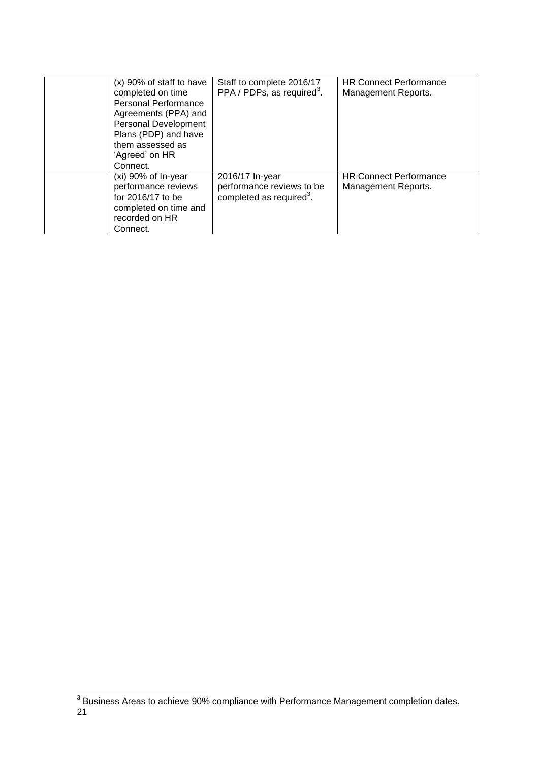<span id="page-21-0"></span>

| $(x)$ 90% of staff to have<br>completed on time<br><b>Personal Performance</b><br>Agreements (PPA) and<br><b>Personal Development</b><br>Plans (PDP) and have<br>them assessed as<br>'Agreed' on HR<br>Connect. | Staff to complete 2016/17<br>PPA / PDPs, as required <sup>3</sup> .                  | <b>HR Connect Performance</b><br>Management Reports. |
|-----------------------------------------------------------------------------------------------------------------------------------------------------------------------------------------------------------------|--------------------------------------------------------------------------------------|------------------------------------------------------|
| (xi) 90% of In-year<br>performance reviews<br>for 2016/17 to be<br>completed on time and<br>recorded on HR<br>Connect.                                                                                          | 2016/17 In-year<br>performance reviews to be<br>completed as required <sup>3</sup> . | <b>HR Connect Performance</b><br>Management Reports. |

<sup>21</sup> \_\_\_\_\_\_\_\_\_\_\_\_\_\_\_\_\_\_\_\_\_\_\_\_\_\_\_\_\_\_\_\_\_\_\_\_<br><sup>3</sup> Business Areas to achieve 90% compliance with Performance Management completion dates.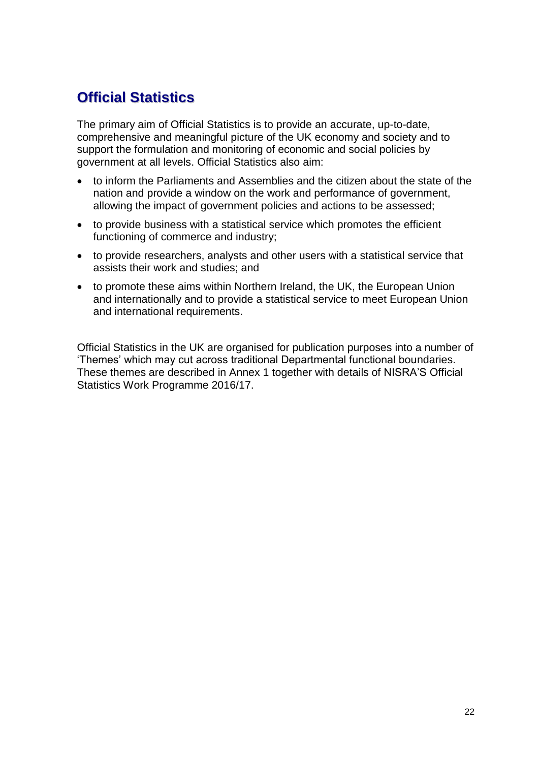# **Official Statistics**

The primary aim of Official Statistics is to provide an accurate, up-to-date, comprehensive and meaningful picture of the UK economy and society and to support the formulation and monitoring of economic and social policies by government at all levels. Official Statistics also aim:

- to inform the Parliaments and Assemblies and the citizen about the state of the nation and provide a window on the work and performance of government, allowing the impact of government policies and actions to be assessed;
- to provide business with a statistical service which promotes the efficient functioning of commerce and industry;
- to provide researchers, analysts and other users with a statistical service that assists their work and studies; and
- to promote these aims within Northern Ireland, the UK, the European Union and internationally and to provide a statistical service to meet European Union and international requirements.

Official Statistics in the UK are organised for publication purposes into a number of 'Themes' which may cut across traditional Departmental functional boundaries. These themes are described in Annex 1 together with details of NISRA'S Official Statistics Work Programme 2016/17.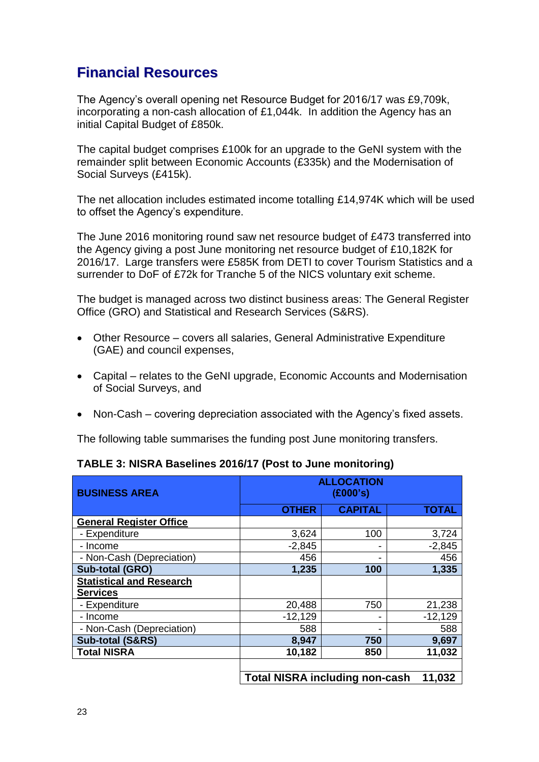# **Financial Resources**

The Agency's overall opening net Resource Budget for 2016/17 was £9,709k, incorporating a non-cash allocation of £1,044k. In addition the Agency has an initial Capital Budget of £850k.

The capital budget comprises £100k for an upgrade to the GeNI system with the remainder split between Economic Accounts (£335k) and the Modernisation of Social Surveys (£415k).

The net allocation includes estimated income totalling £14,974K which will be used to offset the Agency's expenditure.

The June 2016 monitoring round saw net resource budget of £473 transferred into the Agency giving a post June monitoring net resource budget of £10,182K for 2016/17. Large transfers were £585K from DETI to cover Tourism Statistics and a surrender to DoF of £72k for Tranche 5 of the NICS voluntary exit scheme.

The budget is managed across two distinct business areas: The General Register Office (GRO) and Statistical and Research Services (S&RS).

- Other Resource covers all salaries, General Administrative Expenditure (GAE) and council expenses,
- Capital relates to the GeNI upgrade, Economic Accounts and Modernisation of Social Surveys, and
- Non-Cash covering depreciation associated with the Agency's fixed assets.

The following table summarises the funding post June monitoring transfers.

| TABLE 3: NISRA Baselines 2016/17 (Post to June monitoring) |  |
|------------------------------------------------------------|--|
|------------------------------------------------------------|--|

| <b>BUSINESS AREA</b>            |                                       | <b>ALLOCATION</b><br>(E000's) |              |
|---------------------------------|---------------------------------------|-------------------------------|--------------|
|                                 | <b>OTHER</b>                          | <b>CAPITAL</b>                | <b>TOTAL</b> |
| <b>General Register Office</b>  |                                       |                               |              |
| - Expenditure                   | 3,624                                 | 100                           | 3,724        |
| - Income                        | $-2,845$                              |                               | $-2,845$     |
| - Non-Cash (Depreciation)       | 456                                   |                               | 456          |
| Sub-total (GRO)                 | 1,235                                 | 100                           | 1,335        |
| <b>Statistical and Research</b> |                                       |                               |              |
| <b>Services</b>                 |                                       |                               |              |
| - Expenditure                   | 20,488                                | 750                           | 21,238       |
| - Income                        | $-12,129$                             |                               | $-12,129$    |
| - Non-Cash (Depreciation)       | 588                                   |                               | 588          |
| <b>Sub-total (S&amp;RS)</b>     | 8,947                                 | 750                           | 9,697        |
| <b>Total NISRA</b>              | 10,182                                | 850                           | 11,032       |
|                                 |                                       |                               |              |
|                                 | <b>Total NISRA including non-cash</b> |                               | 11,032       |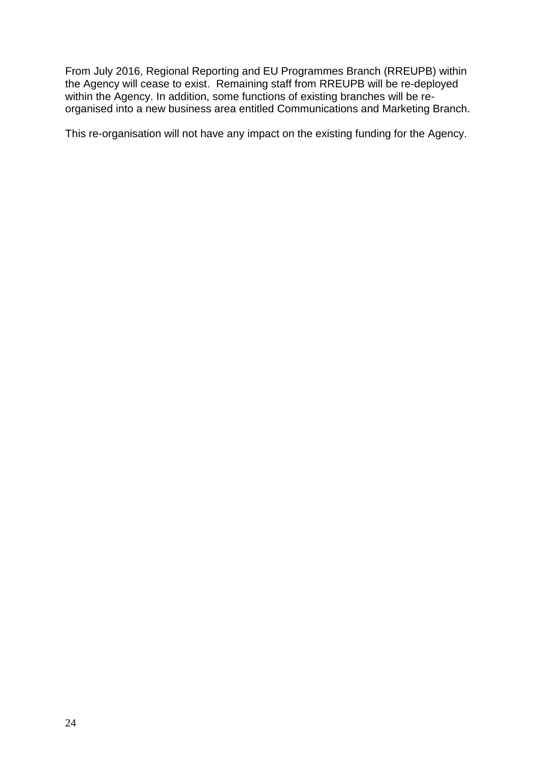From July 2016, Regional Reporting and EU Programmes Branch (RREUPB) within the Agency will cease to exist. Remaining staff from RREUPB will be re-deployed within the Agency. In addition, some functions of existing branches will be reorganised into a new business area entitled Communications and Marketing Branch.

This re-organisation will not have any impact on the existing funding for the Agency.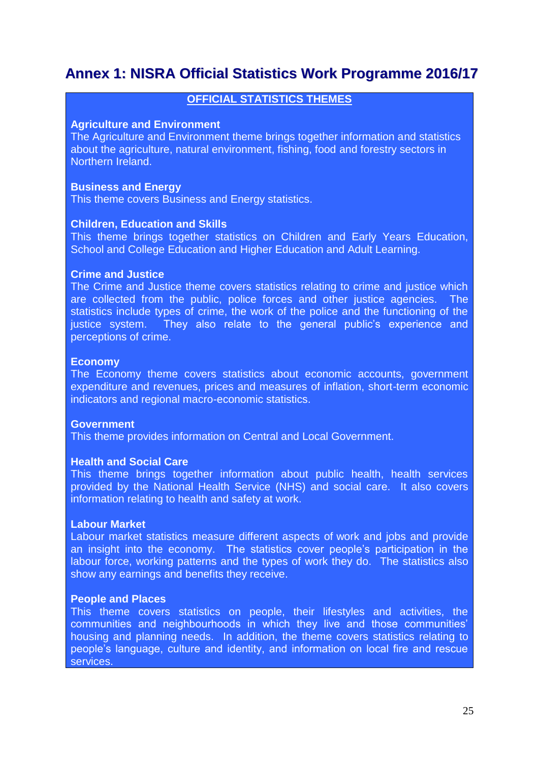# **Annex 1: NISRA Official Statistics Work Programme 2016/17**

### **OFFICIAL STATISTICS THEMES**

#### **Agriculture and Environment**

The Agriculture and Environment theme brings together information and statistics about the agriculture, natural environment, fishing, food and forestry sectors in Northern Ireland.

#### **Business and Energy**

This theme covers Business and Energy statistics.

#### **Children, Education and Skills**

This theme brings together statistics on Children and Early Years Education, School and College Education and Higher Education and Adult Learning.

#### **Crime and Justice**

The Crime and Justice theme covers statistics relating to crime and justice which are collected from the public, police forces and other justice agencies. The statistics include types of crime, the work of the police and the functioning of the justice system. They also relate to the general public's experience and perceptions of crime.

#### **Economy**

The Economy theme covers statistics about economic accounts, government expenditure and revenues, prices and measures of inflation, short-term economic indicators and regional macro-economic statistics.

#### **Government**

This theme provides information on Central and Local Government.

#### **Health and Social Care**

This theme brings together information about public health, health services provided by the National Health Service (NHS) and social care. It also covers information relating to health and safety at work.

#### **Labour Market**

Labour market statistics measure different aspects of work and jobs and provide an insight into the economy. The statistics cover people's participation in the labour force, working patterns and the types of work they do. The statistics also show any earnings and benefits they receive.

#### **People and Places**

This theme covers statistics on people, their lifestyles and activities, the communities and neighbourhoods in which they live and those communities' housing and planning needs. In addition, the theme covers statistics relating to people's language, culture and identity, and information on local fire and rescue services.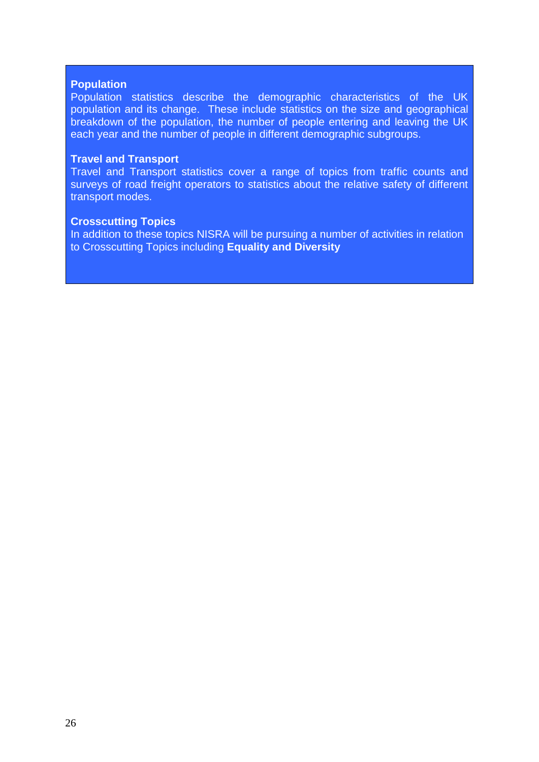#### **Population**

Population statistics describe the demographic characteristics of the UK population and its change. These include statistics on the size and geographical breakdown of the population, the number of people entering and leaving the UK each year and the number of people in different demographic subgroups.

#### **Travel and Transport**

Travel and Transport statistics cover a range of topics from traffic counts and surveys of road freight operators to statistics about the relative safety of different transport modes.

#### **Crosscutting Topics**

In addition to these topics NISRA will be pursuing a number of activities in relation to Crosscutting Topics including **Equality and Diversity**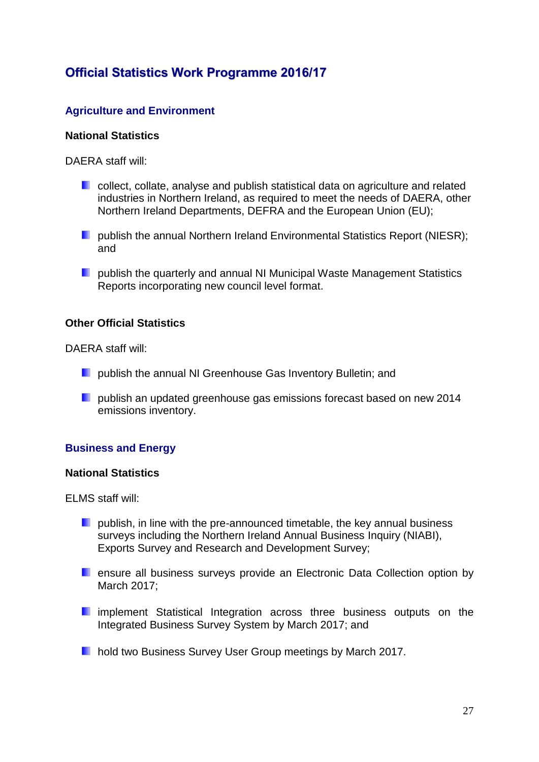# **Official Statistics Work Programme 2016/17**

### **Agriculture and Environment**

### **National Statistics**

DAERA staff will:

- **Collect, collate, analyse and publish statistical data on agriculture and related** industries in Northern Ireland, as required to meet the needs of DAERA, other Northern Ireland Departments, DEFRA and the European Union (EU);
- **Publish the annual Northern Ireland Environmental Statistics Report (NIESR):** and
- **Publish the quarterly and annual NI Municipal Waste Management Statistics** Reports incorporating new council level format.

#### **Other Official Statistics**

DAERA staff will:

- **P** publish the annual NI Greenhouse Gas Inventory Bulletin; and
- **Poublish an updated greenhouse gas emissions forecast based on new 2014** emissions inventory.

### **Business and Energy**

#### **National Statistics**

ELMS staff will:

- **P** publish, in line with the pre-announced timetable, the key annual business surveys including the Northern Ireland Annual Business Inquiry (NIABI), Exports Survey and Research and Development Survey;
- **E** ensure all business surveys provide an Electronic Data Collection option by March 2017;
- **E** implement Statistical Integration across three business outputs on the Integrated Business Survey System by March 2017; and
- **hold two Business Survey User Group meetings by March 2017.**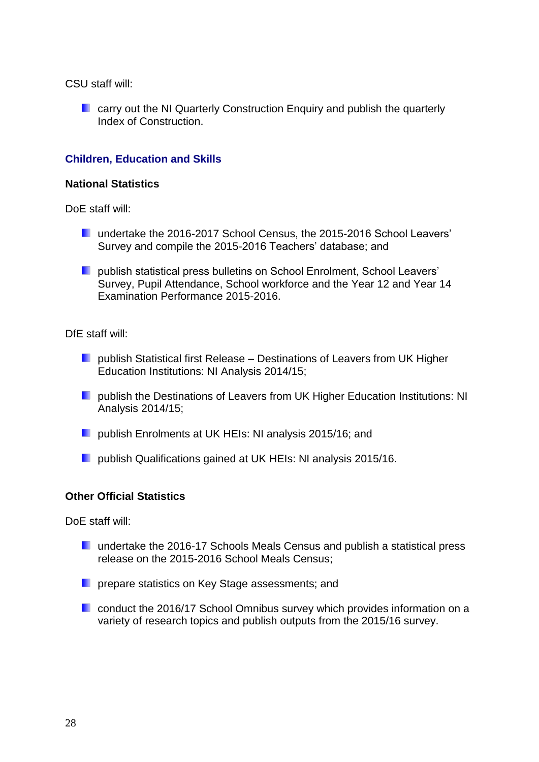CSU staff will:

**E** carry out the NI Quarterly Construction Enquiry and publish the quarterly Index of Construction.

### **Children, Education and Skills**

#### **National Statistics**

DoE staff will:

- **L** undertake the 2016-2017 School Census, the 2015-2016 School Leavers' Survey and compile the 2015-2016 Teachers' database; and
- **Publish statistical press bulletins on School Enrolment, School Leavers'** Survey, Pupil Attendance, School workforce and the Year 12 and Year 14 Examination Performance 2015-2016.

DfE staff will:

- **Publish Statistical first Release Destinations of Leavers from UK Higher** Education Institutions: NI Analysis 2014/15;
- **Publish the Destinations of Leavers from UK Higher Education Institutions: NI** Analysis 2014/15;
- **Publish Enrolments at UK HEIs: NI analysis 2015/16; and**
- **Publish Qualifications gained at UK HEIs: NI analysis 2015/16.**

#### **Other Official Statistics**

DoE staff will:

- **L** undertake the 2016-17 Schools Meals Census and publish a statistical press release on the 2015-2016 School Meals Census;
- **P** prepare statistics on Key Stage assessments; and
- **E** conduct the 2016/17 School Omnibus survey which provides information on a variety of research topics and publish outputs from the 2015/16 survey.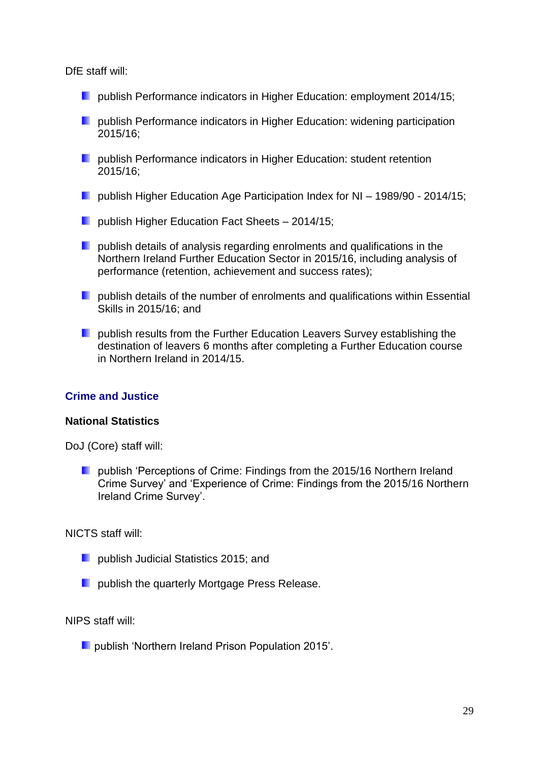DfE staff will:

- **D** publish Performance indicators in Higher Education: employment 2014/15;
- **Publish Performance indicators in Higher Education: widening participation** 2015/16;
- **Publish Performance indicators in Higher Education: student retention** 2015/16;
- **D** publish Higher Education Age Participation Index for NI 1989/90 2014/15;
- **D** publish Higher Education Fact Sheets 2014/15;
- **P** publish details of analysis regarding enrolments and qualifications in the Northern Ireland Further Education Sector in 2015/16, including analysis of performance (retention, achievement and success rates);
- **P** publish details of the number of enrolments and qualifications within Essential Skills in 2015/16; and
- **Publish results from the Further Education Leavers Survey establishing the** destination of leavers 6 months after completing a Further Education course in Northern Ireland in 2014/15.

### **Crime and Justice**

#### **National Statistics**

DoJ (Core) staff will:

**Publish 'Perceptions of Crime: Findings from the 2015/16 Northern Ireland** Crime Survey' and 'Experience of Crime: Findings from the 2015/16 Northern Ireland Crime Survey'.

NICTS staff will:

- **Parable 1 Dublish Judicial Statistics 2015; and**
- **Part publish the quarterly Mortgage Press Release.**

NIPS staff will:

**Popublish 'Northern Ireland Prison Population 2015'.**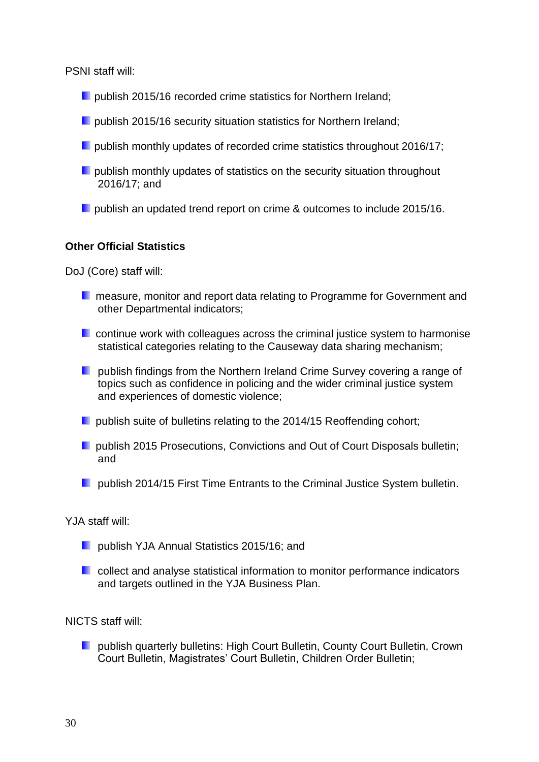PSNI staff will:

- **P** publish 2015/16 recorded crime statistics for Northern Ireland;
- **Poublish 2015/16 security situation statistics for Northern Ireland;**
- **P** publish monthly updates of recorded crime statistics throughout 2016/17;
- $\blacksquare$  publish monthly updates of statistics on the security situation throughout 2016/17; and
- **Poublish an updated trend report on crime & outcomes to include 2015/16.**

### **Other Official Statistics**

DoJ (Core) staff will:

- **n** measure, monitor and report data relating to Programme for Government and other Departmental indicators;
- **E** continue work with colleagues across the criminal justice system to harmonise statistical categories relating to the Causeway data sharing mechanism;
- **P** publish findings from the Northern Ireland Crime Survey covering a range of topics such as confidence in policing and the wider criminal justice system and experiences of domestic violence;
- **P** publish suite of bulletins relating to the 2014/15 Reoffending cohort:
- **P** publish 2015 Prosecutions, Convictions and Out of Court Disposals bulletin; and
- **Publish 2014/15 First Time Entrants to the Criminal Justice System bulletin.**

YJA staff will:

- **Poublish YJA Annual Statistics 2015/16; and**
- **E** collect and analyse statistical information to monitor performance indicators and targets outlined in the YJA Business Plan.

NICTS staff will:

**Publish quarterly bulletins: High Court Bulletin, County Court Bulletin, Crown** Court Bulletin, Magistrates' Court Bulletin, Children Order Bulletin;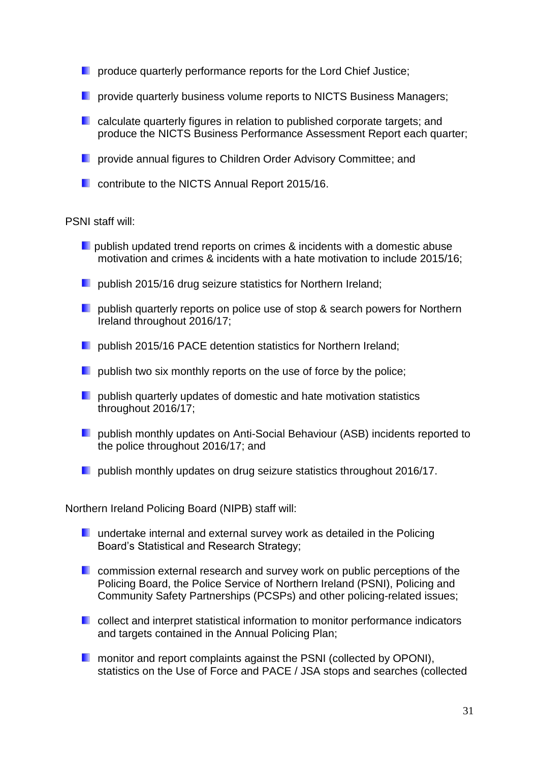- **P** produce quarterly performance reports for the Lord Chief Justice;
- **P** provide quarterly business volume reports to NICTS Business Managers;
- **L** calculate quarterly figures in relation to published corporate targets; and produce the NICTS Business Performance Assessment Report each quarter;
- **P** provide annual figures to Children Order Advisory Committee; and
- **Contribute to the NICTS Annual Report 2015/16.**

#### PSNI staff will:

- **P** publish updated trend reports on crimes & incidents with a domestic abuse motivation and crimes & incidents with a hate motivation to include 2015/16;
- **Publish 2015/16 drug seizure statistics for Northern Ireland;**
- **Poublish quarterly reports on police use of stop & search powers for Northern** Ireland throughout 2016/17;
- **Publish 2015/16 PACE detention statistics for Northern Ireland;**
- $\Box$  publish two six monthly reports on the use of force by the police;
- $\Box$  publish quarterly updates of domestic and hate motivation statistics throughout 2016/17;
- **Poublish monthly updates on Anti-Social Behaviour (ASB) incidents reported to** the police throughout 2016/17; and
- **P** publish monthly updates on drug seizure statistics throughout 2016/17.

Northern Ireland Policing Board (NIPB) staff will:

- **undertake internal and external survey work as detailed in the Policing** Board's Statistical and Research Strategy;
- **E** commission external research and survey work on public perceptions of the Policing Board, the Police Service of Northern Ireland (PSNI), Policing and Community Safety Partnerships (PCSPs) and other policing-related issues;
- **E** collect and interpret statistical information to monitor performance indicators and targets contained in the Annual Policing Plan;
- **n** monitor and report complaints against the PSNI (collected by OPONI), statistics on the Use of Force and PACE / JSA stops and searches (collected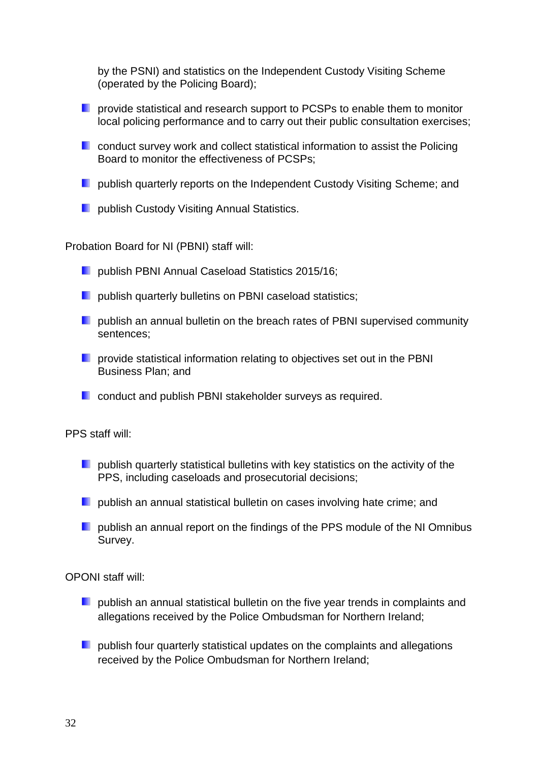by the PSNI) and statistics on the Independent Custody Visiting Scheme (operated by the Policing Board);

- **P** provide statistical and research support to PCSPs to enable them to monitor local policing performance and to carry out their public consultation exercises;
- **E** conduct survey work and collect statistical information to assist the Policing Board to monitor the effectiveness of PCSPs;
- **Publish quarterly reports on the Independent Custody Visiting Scheme: and**
- **L** publish Custody Visiting Annual Statistics.

Probation Board for NI (PBNI) staff will:

- **Publish PBNI Annual Caseload Statistics 2015/16;**
- **Publish quarterly bulletins on PBNI caseload statistics;**
- **P** publish an annual bulletin on the breach rates of PBNI supervised community sentences;
- **P** provide statistical information relating to objectives set out in the PBNI Business Plan; and
- **E** conduct and publish PBNI stakeholder surveys as required.

PPS staff will:

- $\blacksquare$  publish quarterly statistical bulletins with key statistics on the activity of the PPS, including caseloads and prosecutorial decisions;
- **P** publish an annual statistical bulletin on cases involving hate crime; and
- **D** publish an annual report on the findings of the PPS module of the NI Omnibus Survey.

OPONI staff will:

- **D** publish an annual statistical bulletin on the five year trends in complaints and allegations received by the Police Ombudsman for Northern Ireland;
- **P** publish four quarterly statistical updates on the complaints and allegations received by the Police Ombudsman for Northern Ireland;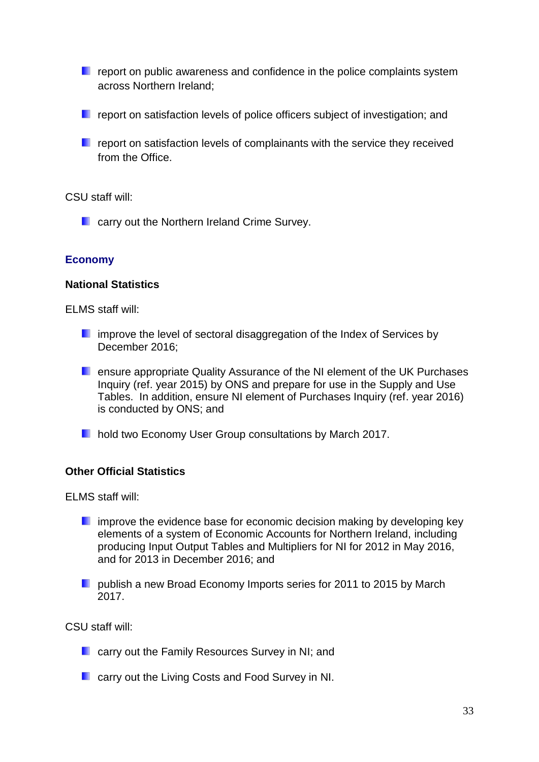- $\blacksquare$  report on public awareness and confidence in the police complaints system across Northern Ireland;
- $\blacksquare$  report on satisfaction levels of police officers subject of investigation; and
- **F** report on satisfaction levels of complainants with the service they received from the Office.

CSU staff will:

**E** carry out the Northern Ireland Crime Survey.

### **Economy**

#### **National Statistics**

ELMS staff will:

- **E** improve the level of sectoral disaggregation of the Index of Services by December 2016;
- **E** ensure appropriate Quality Assurance of the NI element of the UK Purchases Inquiry (ref. year 2015) by ONS and prepare for use in the Supply and Use Tables. In addition, ensure NI element of Purchases Inquiry (ref. year 2016) is conducted by ONS; and
- **hold two Economy User Group consultations by March 2017.**

#### **Other Official Statistics**

ELMS staff will:

- **E** improve the evidence base for economic decision making by developing key elements of a system of Economic Accounts for Northern Ireland, including producing Input Output Tables and Multipliers for NI for 2012 in May 2016, and for 2013 in December 2016; and
- **Publish a new Broad Economy Imports series for 2011 to 2015 by March** 2017.

CSU staff will:

- **L** carry out the Family Resources Survey in NI; and
- **E** carry out the Living Costs and Food Survey in NI.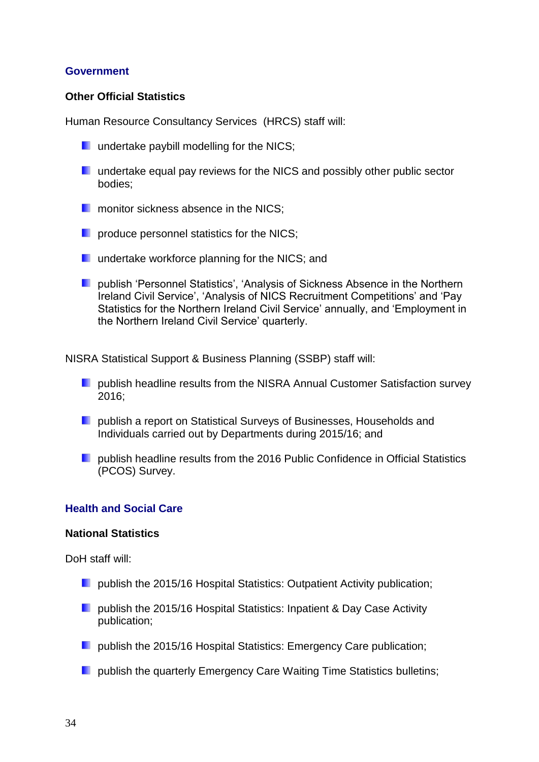#### **Government**

#### **Other Official Statistics**

Human Resource Consultancy Services (HRCS) staff will:

- **undertake paybill modelling for the NICS;**
- **L** undertake equal pay reviews for the NICS and possibly other public sector bodies;
- **n** monitor sickness absence in the NICS:
- **P** produce personnel statistics for the NICS;
- **undertake workforce planning for the NICS; and**
- **Publish 'Personnel Statistics', 'Analysis of Sickness Absence in the Northern** Ireland Civil Service', 'Analysis of NICS Recruitment Competitions' and 'Pay Statistics for the Northern Ireland Civil Service' annually, and 'Employment in the Northern Ireland Civil Service' quarterly.

NISRA Statistical Support & Business Planning (SSBP) staff will:

- **P** publish headline results from the NISRA Annual Customer Satisfaction survey 2016;
- **Publish a report on Statistical Surveys of Businesses, Households and** Individuals carried out by Departments during 2015/16; and
- **P** publish headline results from the 2016 Public Confidence in Official Statistics (PCOS) Survey.

#### **Health and Social Care**

#### **National Statistics**

DoH staff will:

- **D** publish the 2015/16 Hospital Statistics: Outpatient Activity publication;
- **P** publish the 2015/16 Hospital Statistics: Inpatient & Day Case Activity publication;
- **Publish the 2015/16 Hospital Statistics: Emergency Care publication;**
- **P** publish the quarterly Emergency Care Waiting Time Statistics bulletins;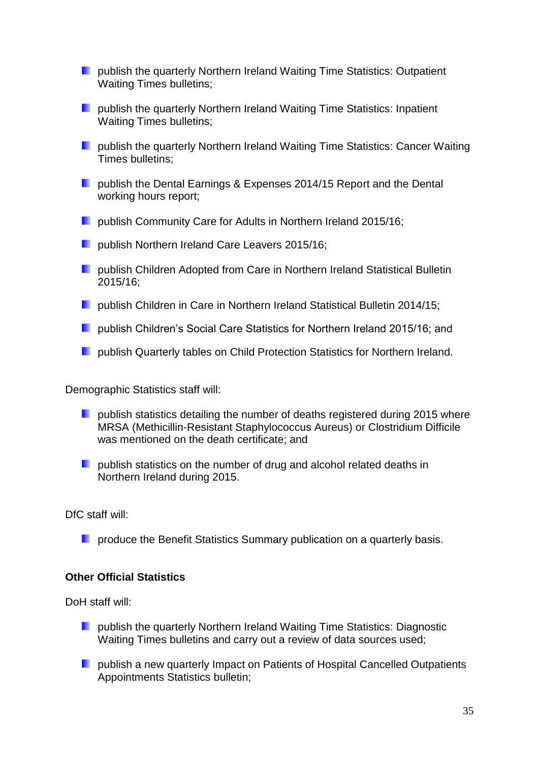- **Publish the quarterly Northern Ireland Waiting Time Statistics: Outpatient** Waiting Times bulletins;
- **P** publish the quarterly Northern Ireland Waiting Time Statistics: Inpatient Waiting Times bulletins;
- **L** publish the quarterly Northern Ireland Waiting Time Statistics: Cancer Waiting Times bulletins;
- **Publish the Dental Earnings & Expenses 2014/15 Report and the Dental** working hours report;
- **D** publish Community Care for Adults in Northern Ireland 2015/16;
- **Publish Northern Ireland Care Leavers 2015/16;**
- **Publish Children Adopted from Care in Northern Ireland Statistical Bulletin** 2015/16;
- **D** publish Children in Care in Northern Ireland Statistical Bulletin 2014/15;
- **D** publish Children's Social Care Statistics for Northern Ireland 2015/16; and
- **Publish Quarterly tables on Child Protection Statistics for Northern Ireland.**

Demographic Statistics staff will:

- **Poublish statistics detailing the number of deaths registered during 2015 where** MRSA (Methicillin-Resistant Staphylococcus Aureus) or Clostridium Difficile was mentioned on the death certificate; and
- **Publish statistics on the number of drug and alcohol related deaths in** Northern Ireland during 2015.

DfC staff will:

**P** produce the Benefit Statistics Summary publication on a quarterly basis.

#### **Other Official Statistics**

DoH staff will:

- **Publish the quarterly Northern Ireland Waiting Time Statistics: Diagnostic** Waiting Times bulletins and carry out a review of data sources used;
- **P** publish a new quarterly Impact on Patients of Hospital Cancelled Outpatients Appointments Statistics bulletin;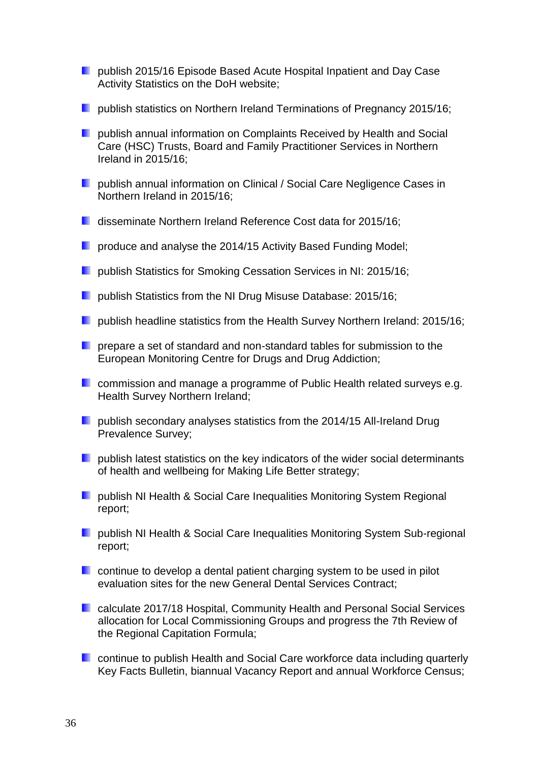- **Poublish 2015/16 Episode Based Acute Hospital Inpatient and Day Case** Activity Statistics on the DoH website;
- **Publish statistics on Northern Ireland Terminations of Pregnancy 2015/16;**
- **P** publish annual information on Complaints Received by Health and Social Care (HSC) Trusts, Board and Family Practitioner Services in Northern Ireland in 2015/16;
- **Publish annual information on Clinical / Social Care Negligence Cases in** Northern Ireland in 2015/16;
- disseminate Northern Ireland Reference Cost data for 2015/16;
- **P** produce and analyse the 2014/15 Activity Based Funding Model;
- **Publish Statistics for Smoking Cessation Services in NI: 2015/16;**
- **Publish Statistics from the NI Drug Misuse Database: 2015/16;**
- **D** publish headline statistics from the Health Survey Northern Ireland: 2015/16;
- **P** prepare a set of standard and non-standard tables for submission to the European Monitoring Centre for Drugs and Drug Addiction;
- **E** commission and manage a programme of Public Health related surveys e.g. Health Survey Northern Ireland;
- **P** publish secondary analyses statistics from the 2014/15 All-Ireland Drug Prevalence Survey;
- $\blacksquare$  publish latest statistics on the key indicators of the wider social determinants of health and wellbeing for Making Life Better strategy;
- **D** publish NI Health & Social Care Inequalities Monitoring System Regional report;
- **P** publish NI Health & Social Care Inequalities Monitoring System Sub-regional report;
- **E** continue to develop a dental patient charging system to be used in pilot evaluation sites for the new General Dental Services Contract;
- **E** calculate 2017/18 Hospital, Community Health and Personal Social Services allocation for Local Commissioning Groups and progress the 7th Review of the Regional Capitation Formula;
- **E** continue to publish Health and Social Care workforce data including quarterly Key Facts Bulletin, biannual Vacancy Report and annual Workforce Census;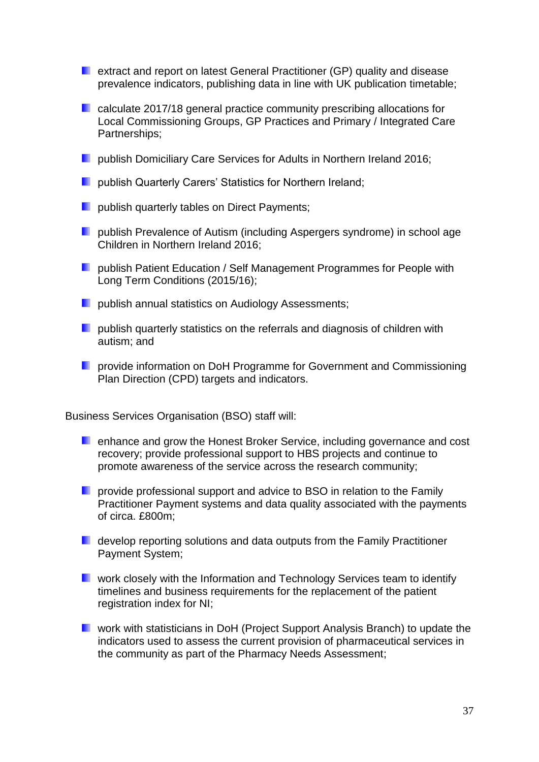- **E** extract and report on latest General Practitioner (GP) quality and disease prevalence indicators, publishing data in line with UK publication timetable;
- **E** calculate 2017/18 general practice community prescribing allocations for Local Commissioning Groups, GP Practices and Primary / Integrated Care Partnerships;
- **Publish Domiciliary Care Services for Adults in Northern Ireland 2016;**
- **Publish Quarterly Carers' Statistics for Northern Ireland;**
- **Poublish quarterly tables on Direct Payments;**
- **D** publish Prevalence of Autism (including Aspergers syndrome) in school age Children in Northern Ireland 2016;
- **Publish Patient Education / Self Management Programmes for People with** Long Term Conditions (2015/16);
- **Publish annual statistics on Audiology Assessments:**
- **P** publish quarterly statistics on the referrals and diagnosis of children with autism; and
- **P** provide information on DoH Programme for Government and Commissioning Plan Direction (CPD) targets and indicators.

Business Services Organisation (BSO) staff will:

- **E** enhance and grow the Honest Broker Service, including governance and cost recovery; provide professional support to HBS projects and continue to promote awareness of the service across the research community;
- **P** provide professional support and advice to BSO in relation to the Family Practitioner Payment systems and data quality associated with the payments of circa. £800m;
- **D** develop reporting solutions and data outputs from the Family Practitioner Payment System;
- **E** work closely with the Information and Technology Services team to identify timelines and business requirements for the replacement of the patient registration index for NI;
- **L** work with statisticians in DoH (Project Support Analysis Branch) to update the indicators used to assess the current provision of pharmaceutical services in the community as part of the Pharmacy Needs Assessment;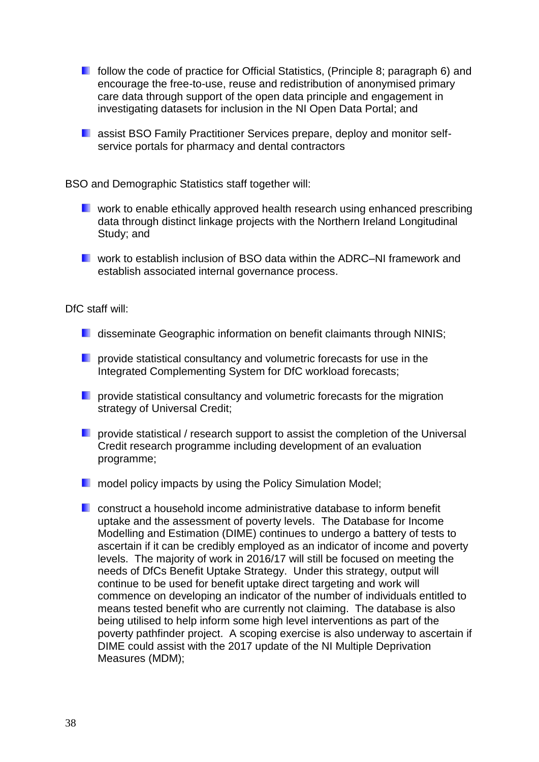- **F** follow the code of practice for Official Statistics, (Principle 8; paragraph 6) and encourage the free-to-use, reuse and redistribution of anonymised primary care data through support of the open data principle and engagement in investigating datasets for inclusion in the NI Open Data Portal; and
- **L** assist BSO Family Practitioner Services prepare, deploy and monitor selfservice portals for pharmacy and dental contractors

BSO and Demographic Statistics staff together will:

- **L** work to enable ethically approved health research using enhanced prescribing data through distinct linkage projects with the Northern Ireland Longitudinal Study; and
- work to establish inclusion of BSO data within the ADRC–NI framework and establish associated internal governance process.

DfC staff will:

- **D** disseminate Geographic information on benefit claimants through NINIS:
- **P** provide statistical consultancy and volumetric forecasts for use in the Integrated Complementing System for DfC workload forecasts;
- **P** provide statistical consultancy and volumetric forecasts for the migration strategy of Universal Credit;
- **P** provide statistical / research support to assist the completion of the Universal Credit research programme including development of an evaluation programme;
- **n** model policy impacts by using the Policy Simulation Model:
- construct a household income administrative database to inform benefit uptake and the assessment of poverty levels. The Database for Income Modelling and Estimation (DIME) continues to undergo a battery of tests to ascertain if it can be credibly employed as an indicator of income and poverty levels. The majority of work in 2016/17 will still be focused on meeting the needs of DfCs Benefit Uptake Strategy. Under this strategy, output will continue to be used for benefit uptake direct targeting and work will commence on developing an indicator of the number of individuals entitled to means tested benefit who are currently not claiming. The database is also being utilised to help inform some high level interventions as part of the poverty pathfinder project. A scoping exercise is also underway to ascertain if DIME could assist with the 2017 update of the NI Multiple Deprivation Measures (MDM);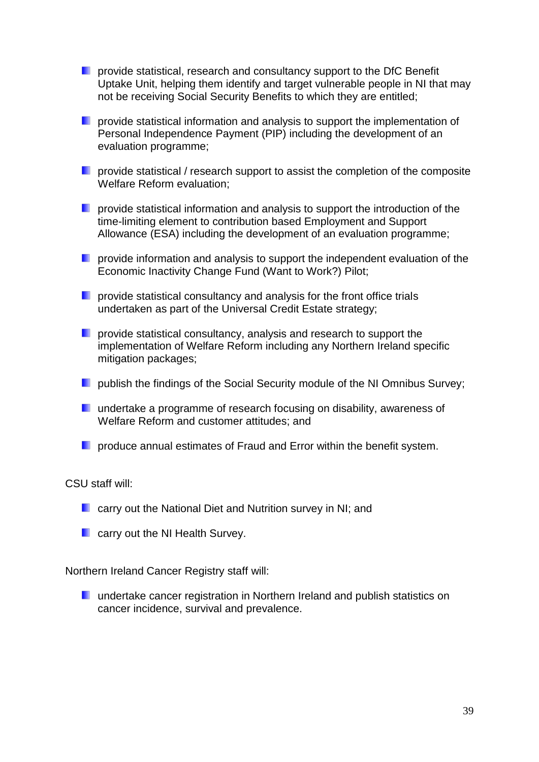- **P** provide statistical, research and consultancy support to the DfC Benefit Uptake Unit, helping them identify and target vulnerable people in NI that may not be receiving Social Security Benefits to which they are entitled;
- **P** provide statistical information and analysis to support the implementation of Personal Independence Payment (PIP) including the development of an evaluation programme;
- **P** provide statistical / research support to assist the completion of the composite Welfare Reform evaluation;
- **P** provide statistical information and analysis to support the introduction of the time-limiting element to contribution based Employment and Support Allowance (ESA) including the development of an evaluation programme;
- **P** provide information and analysis to support the independent evaluation of the Economic Inactivity Change Fund (Want to Work?) Pilot;
- **P** provide statistical consultancy and analysis for the front office trials undertaken as part of the Universal Credit Estate strategy;
- **P** provide statistical consultancy, analysis and research to support the implementation of Welfare Reform including any Northern Ireland specific mitigation packages;
- **Poublish the findings of the Social Security module of the NI Omnibus Survey;**
- **undertake a programme of research focusing on disability, awareness of** Welfare Reform and customer attitudes; and
- **P** produce annual estimates of Fraud and Error within the benefit system.

#### CSU staff will:

- **E** carry out the National Diet and Nutrition survey in NI; and
- **E** carry out the NI Health Survey.

Northern Ireland Cancer Registry staff will:

**L** undertake cancer registration in Northern Ireland and publish statistics on cancer incidence, survival and prevalence.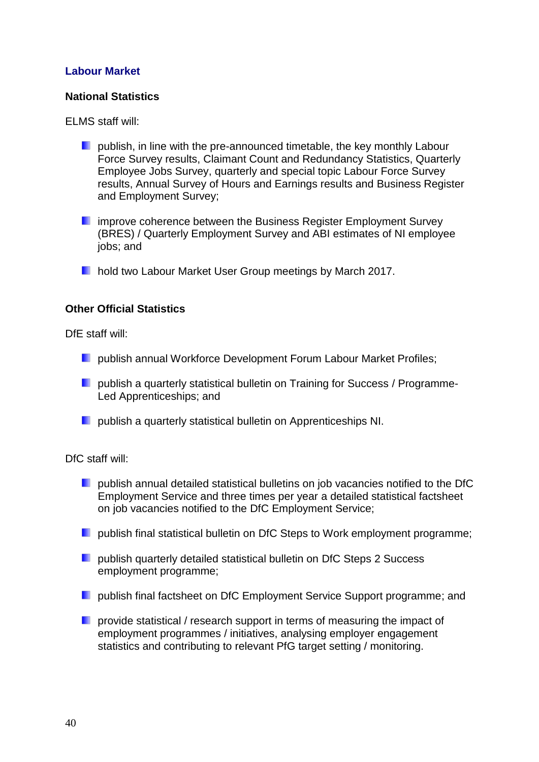### **Labour Market**

#### **National Statistics**

ELMS staff will:

- **P** publish, in line with the pre-announced timetable, the key monthly Labour Force Survey results, Claimant Count and Redundancy Statistics, Quarterly Employee Jobs Survey, quarterly and special topic Labour Force Survey results, Annual Survey of Hours and Earnings results and Business Register and Employment Survey;
- **I** improve coherence between the Business Register Employment Survey (BRES) / Quarterly Employment Survey and ABI estimates of NI employee jobs; and
- **hold two Labour Market User Group meetings by March 2017.**

#### **Other Official Statistics**

DfE staff will:

- **D** publish annual Workforce Development Forum Labour Market Profiles;
- **P** publish a quarterly statistical bulletin on Training for Success / Programme-Led Apprenticeships; and
- **Publish a quarterly statistical bulletin on Apprenticeships NI.**

#### DfC staff will:

- **P** publish annual detailed statistical bulletins on job vacancies notified to the DfC Employment Service and three times per year a detailed statistical factsheet on job vacancies notified to the DfC Employment Service;
- **D** publish final statistical bulletin on DfC Steps to Work employment programme;
- **Poublish quarterly detailed statistical bulletin on DfC Steps 2 Success** employment programme;
- **P** publish final factsheet on DfC Employment Service Support programme; and
- **P** provide statistical / research support in terms of measuring the impact of employment programmes / initiatives, analysing employer engagement statistics and contributing to relevant PfG target setting / monitoring.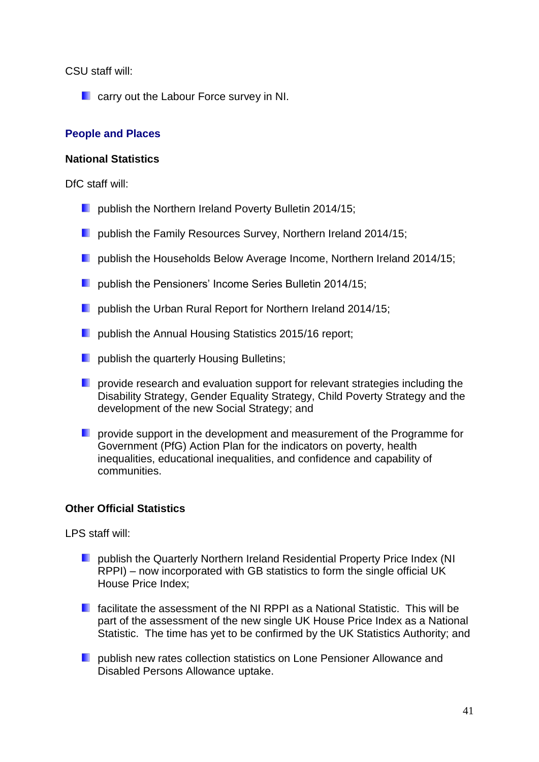CSU staff will:

**Carry out the Labour Force survey in NI.** 

### **People and Places**

#### **National Statistics**

DfC staff will:

- **Publish the Northern Ireland Poverty Bulletin 2014/15;**
- **D** publish the Family Resources Survey, Northern Ireland 2014/15;
- **D** publish the Households Below Average Income, Northern Ireland 2014/15;
- **Publish the Pensioners' Income Series Bulletin 2014/15;**
- **D** publish the Urban Rural Report for Northern Ireland 2014/15;
- **Publish the Annual Housing Statistics 2015/16 report:**
- **L** publish the quarterly Housing Bulletins;
- **P** provide research and evaluation support for relevant strategies including the Disability Strategy, Gender Equality Strategy, Child Poverty Strategy and the development of the new Social Strategy; and
- **P** provide support in the development and measurement of the Programme for Government (PfG) Action Plan for the indicators on poverty, health inequalities, educational inequalities, and confidence and capability of communities.

#### **Other Official Statistics**

LPS staff will:

- **Publish the Quarterly Northern Ireland Residential Property Price Index (NI)** RPPI) – now incorporated with GB statistics to form the single official UK House Price Index;
- **F** facilitate the assessment of the NI RPPI as a National Statistic. This will be part of the assessment of the new single UK House Price Index as a National Statistic. The time has yet to be confirmed by the UK Statistics Authority; and
- **Publish new rates collection statistics on Lone Pensioner Allowance and** Disabled Persons Allowance uptake.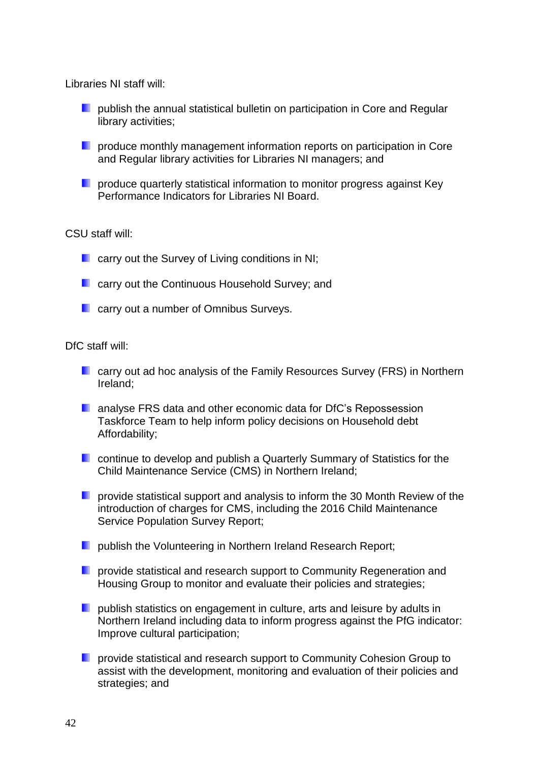Libraries NI staff will:

- **P** publish the annual statistical bulletin on participation in Core and Regular library activities;
- **P** produce monthly management information reports on participation in Core and Regular library activities for Libraries NI managers; and
- **P** produce quarterly statistical information to monitor progress against Key Performance Indicators for Libraries NI Board.

#### CSU staff will:

- **L** carry out the Survey of Living conditions in NI;
- **L** carry out the Continuous Household Survey; and
- **L** carry out a number of Omnibus Surveys.

#### DfC staff will:

- **E** carry out ad hoc analysis of the Family Resources Survey (FRS) in Northern Ireland;
- **L** analyse FRS data and other economic data for DfC's Repossession Taskforce Team to help inform policy decisions on Household debt Affordability;
- **E** continue to develop and publish a Quarterly Summary of Statistics for the Child Maintenance Service (CMS) in Northern Ireland;
- **P** provide statistical support and analysis to inform the 30 Month Review of the introduction of charges for CMS, including the 2016 Child Maintenance Service Population Survey Report;
- **Publish the Volunteering in Northern Ireland Research Report;**
- **P** provide statistical and research support to Community Regeneration and Housing Group to monitor and evaluate their policies and strategies;
- **P** publish statistics on engagement in culture, arts and leisure by adults in Northern Ireland including data to inform progress against the PfG indicator: Improve cultural participation;
- **P** provide statistical and research support to Community Cohesion Group to assist with the development, monitoring and evaluation of their policies and strategies; and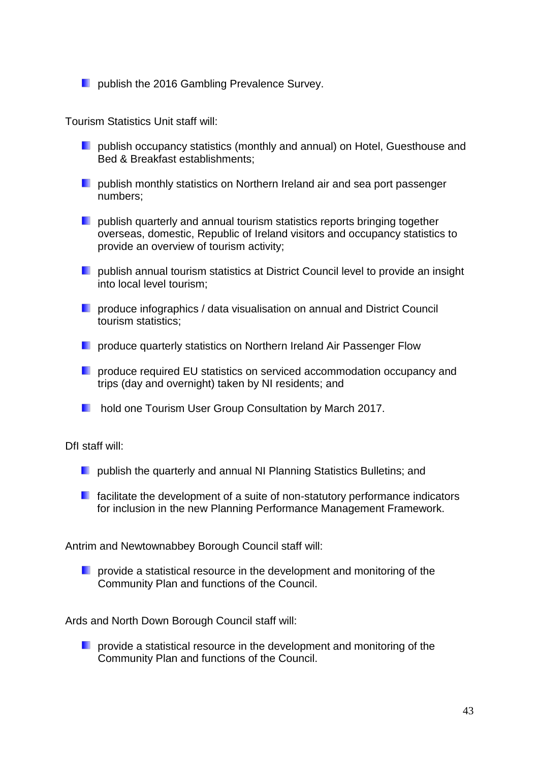**Poublish the 2016 Gambling Prevalence Survey.** 

Tourism Statistics Unit staff will:

- **P** publish occupancy statistics (monthly and annual) on Hotel, Guesthouse and Bed & Breakfast establishments;
- **P** publish monthly statistics on Northern Ireland air and sea port passenger numbers;
- **P** publish quarterly and annual tourism statistics reports bringing together overseas, domestic, Republic of Ireland visitors and occupancy statistics to provide an overview of tourism activity;
- **P** publish annual tourism statistics at District Council level to provide an insight into local level tourism;
- **P** produce infographics / data visualisation on annual and District Council tourism statistics;
- **P** produce quarterly statistics on Northern Ireland Air Passenger Flow
- **P** produce required EU statistics on serviced accommodation occupancy and trips (day and overnight) taken by NI residents; and
- **hold one Tourism User Group Consultation by March 2017.**

DfI staff will:

- **P** publish the quarterly and annual NI Planning Statistics Bulletins; and
- $\blacksquare$  facilitate the development of a suite of non-statutory performance indicators for inclusion in the new Planning Performance Management Framework.

Antrim and Newtownabbey Borough Council staff will:

**D** provide a statistical resource in the development and monitoring of the Community Plan and functions of the Council.

Ards and North Down Borough Council staff will:

**P** provide a statistical resource in the development and monitoring of the Community Plan and functions of the Council.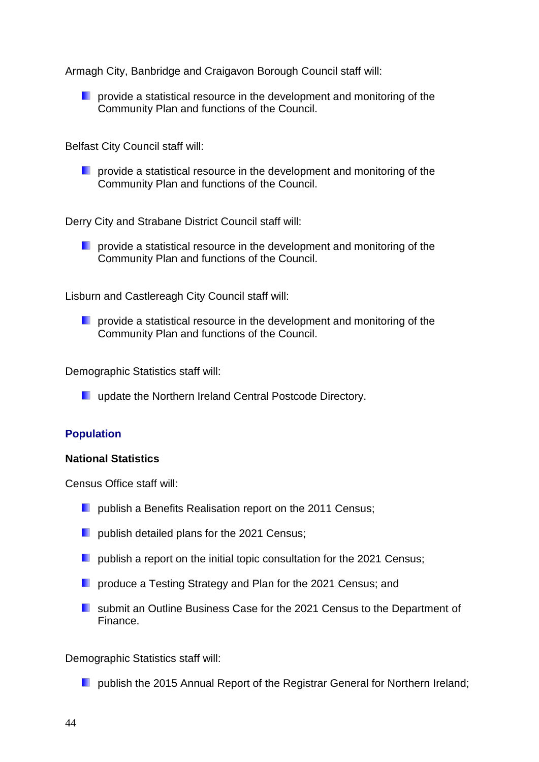Armagh City, Banbridge and Craigavon Borough Council staff will:

**D** provide a statistical resource in the development and monitoring of the Community Plan and functions of the Council.

Belfast City Council staff will:

**P** provide a statistical resource in the development and monitoring of the Community Plan and functions of the Council.

Derry City and Strabane District Council staff will:

**P** provide a statistical resource in the development and monitoring of the Community Plan and functions of the Council.

Lisburn and Castlereagh City Council staff will:

**P** provide a statistical resource in the development and monitoring of the Community Plan and functions of the Council.

Demographic Statistics staff will:

**L** update the Northern Ireland Central Postcode Directory.

#### **Population**

#### **National Statistics**

Census Office staff will:

- **D** publish a Benefits Realisation report on the 2011 Census;
- **D** publish detailed plans for the 2021 Census;
- **D** publish a report on the initial topic consultation for the 2021 Census;
- **P** produce a Testing Strategy and Plan for the 2021 Census; and
- **E** submit an Outline Business Case for the 2021 Census to the Department of Finance.

Demographic Statistics staff will:

**Poublish the 2015 Annual Report of the Registrar General for Northern Ireland;**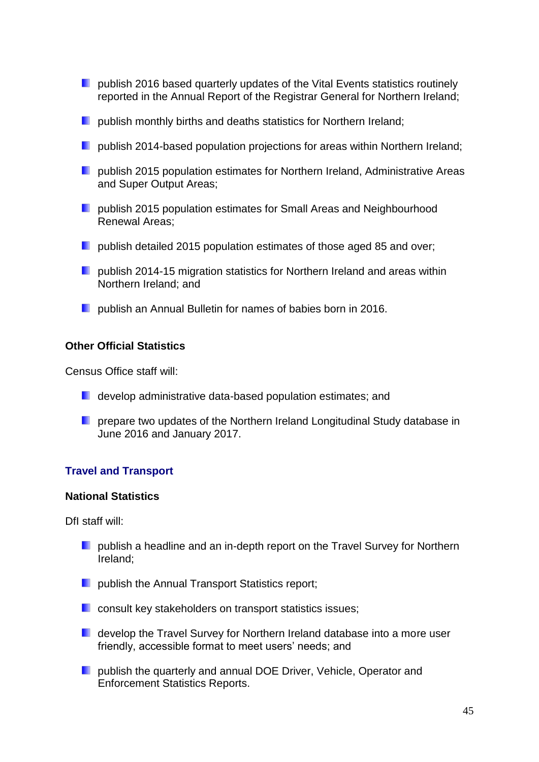- **D** publish 2016 based quarterly updates of the Vital Events statistics routinely reported in the Annual Report of the Registrar General for Northern Ireland;
- **Publish monthly births and deaths statistics for Northern Ireland:**
- **D** publish 2014-based population projections for areas within Northern Ireland;
- **D** publish 2015 population estimates for Northern Ireland, Administrative Areas and Super Output Areas;
- **P** publish 2015 population estimates for Small Areas and Neighbourhood Renewal Areas;
- **D** publish detailed 2015 population estimates of those aged 85 and over;
- **P** publish 2014-15 migration statistics for Northern Ireland and areas within Northern Ireland; and
- **Publish an Annual Bulletin for names of babies born in 2016.**

#### **Other Official Statistics**

Census Office staff will:

- **L** develop administrative data-based population estimates; and
- **P** prepare two updates of the Northern Ireland Longitudinal Study database in June 2016 and January 2017.

#### **Travel and Transport**

#### **National Statistics**

DfI staff will:

- **D** publish a headline and an in-depth report on the Travel Survey for Northern Ireland;
- **Parablish the Annual Transport Statistics report;**
- **Consult key stakeholders on transport statistics issues;**
- **D** develop the Travel Survey for Northern Ireland database into a more user friendly, accessible format to meet users' needs; and
- **P** publish the quarterly and annual DOE Driver, Vehicle, Operator and Enforcement Statistics Reports.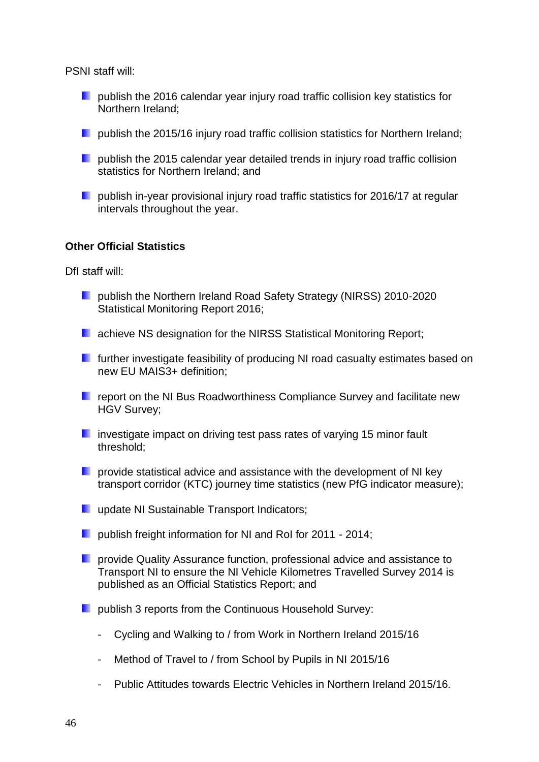PSNI staff will:

- **P** publish the 2016 calendar year injury road traffic collision key statistics for Northern Ireland;
- **D** publish the 2015/16 injury road traffic collision statistics for Northern Ireland;
- $\blacksquare$  publish the 2015 calendar year detailed trends in injury road traffic collision statistics for Northern Ireland; and
- **P** publish in-year provisional injury road traffic statistics for 2016/17 at regular intervals throughout the year.

#### **Other Official Statistics**

DfI staff will:

- **Publish the Northern Ireland Road Safety Strategy (NIRSS) 2010-2020** Statistical Monitoring Report 2016;
- **L** achieve NS designation for the NIRSS Statistical Monitoring Report:
- **F** further investigate feasibility of producing NI road casualty estimates based on new EU MAIS3+ definition;
- **F** report on the NI Bus Roadworthiness Compliance Survey and facilitate new HGV Survey;
- $\blacksquare$  investigate impact on driving test pass rates of varying 15 minor fault threshold;
- **P** provide statistical advice and assistance with the development of NI key transport corridor (KTC) journey time statistics (new PfG indicator measure);
- **update NI Sustainable Transport Indicators;**
- **D** publish freight information for NI and RoI for 2011 2014;
- **P** provide Quality Assurance function, professional advice and assistance to Transport NI to ensure the NI Vehicle Kilometres Travelled Survey 2014 is published as an Official Statistics Report; and
- **P** publish 3 reports from the Continuous Household Survey:
	- Cycling and Walking to / from Work in Northern Ireland 2015/16
	- Method of Travel to / from School by Pupils in NI 2015/16
	- Public Attitudes towards Electric Vehicles in Northern Ireland 2015/16.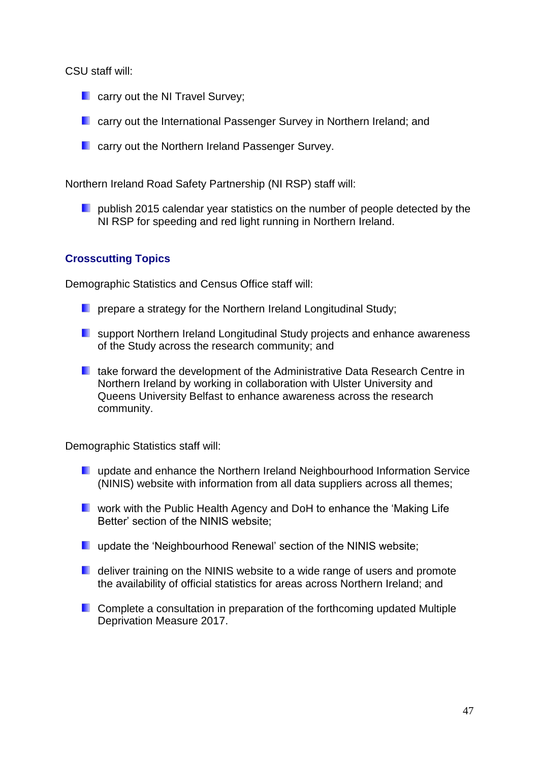CSU staff will:

- **Carry out the NI Travel Survey;**
- **E** carry out the International Passenger Survey in Northern Ireland: and
- **E** carry out the Northern Ireland Passenger Survey.

Northern Ireland Road Safety Partnership (NI RSP) staff will:

**Poublish 2015 calendar year statistics on the number of people detected by the** NI RSP for speeding and red light running in Northern Ireland.

### **Crosscutting Topics**

Demographic Statistics and Census Office staff will:

- **P** prepare a strategy for the Northern Ireland Longitudinal Study;
- **E** support Northern Ireland Longitudinal Study projects and enhance awareness of the Study across the research community; and
- **L** take forward the development of the Administrative Data Research Centre in Northern Ireland by working in collaboration with Ulster University and Queens University Belfast to enhance awareness across the research community.

Demographic Statistics staff will:

- **L** update and enhance the Northern Ireland Neighbourhood Information Service (NINIS) website with information from all data suppliers across all themes;
- **E** work with the Public Health Agency and DoH to enhance the 'Making Life' Better' section of the NINIS website;
- **update the 'Neighbourhood Renewal' section of the NINIS website;**
- **D** deliver training on the NINIS website to a wide range of users and promote the availability of official statistics for areas across Northern Ireland; and
- **Complete a consultation in preparation of the forthcoming updated Multiple** Deprivation Measure 2017.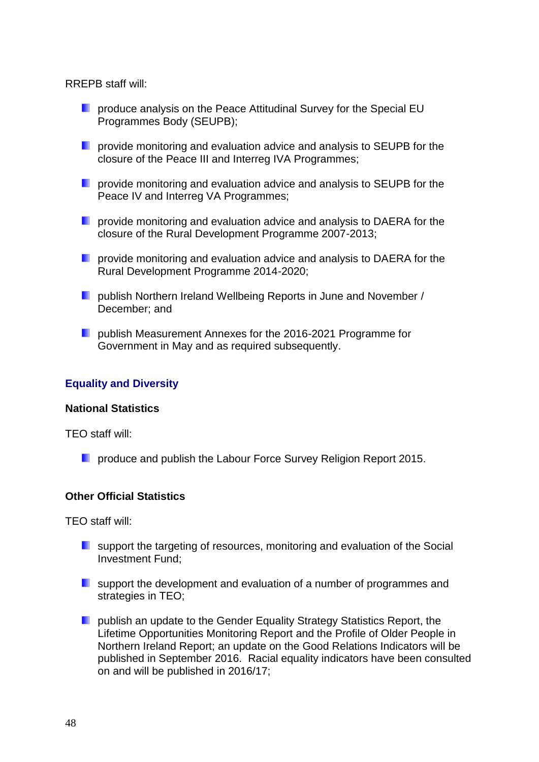RREPB staff will:

- **Part of the Special EU** produce analysis on the Peace Attitudinal Survey for the Special EU Programmes Body (SEUPB);
- **P** provide monitoring and evaluation advice and analysis to SEUPB for the closure of the Peace III and Interreg IVA Programmes;
- **P** provide monitoring and evaluation advice and analysis to SEUPB for the Peace IV and Interreg VA Programmes;
- **P** provide monitoring and evaluation advice and analysis to DAERA for the closure of the Rural Development Programme 2007-2013;
- **P** provide monitoring and evaluation advice and analysis to DAERA for the Rural Development Programme 2014-2020;
- **Publish Northern Ireland Wellbeing Reports in June and November /** December; and
- **Publish Measurement Annexes for the 2016-2021 Programme for** Government in May and as required subsequently.

### **Equality and Diversity**

#### **National Statistics**

TEO staff will:

**Part of the Universely Contract Provident** Produce and publish the Labour Force Survey Religion Report 2015.

#### **Other Official Statistics**

TEO staff will:

- **E** support the targeting of resources, monitoring and evaluation of the Social Investment Fund;
- **E** support the development and evaluation of a number of programmes and strategies in TEO;
- **Publish an update to the Gender Equality Strategy Statistics Report, the** Lifetime Opportunities Monitoring Report and the Profile of Older People in Northern Ireland Report; an update on the Good Relations Indicators will be published in September 2016. Racial equality indicators have been consulted on and will be published in 2016/17;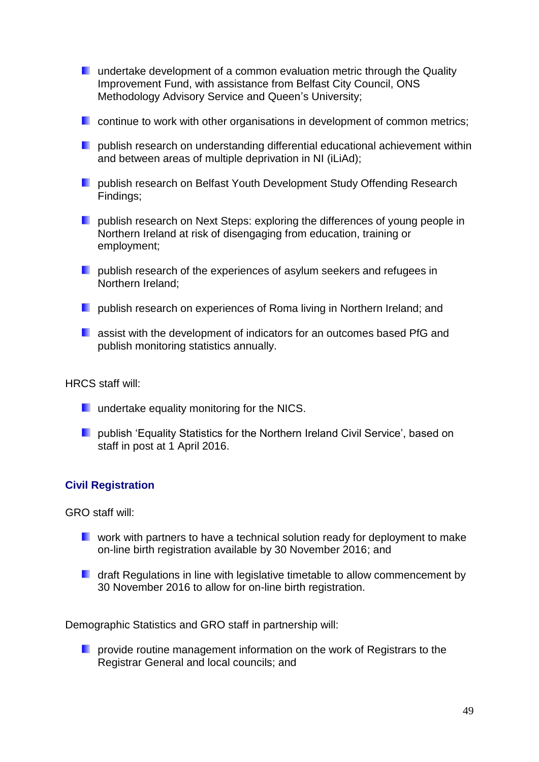- **undertake development of a common evaluation metric through the Quality** Improvement Fund, with assistance from Belfast City Council, ONS Methodology Advisory Service and Queen's University;
- **E** continue to work with other organisations in development of common metrics;
- **P** publish research on understanding differential educational achievement within and between areas of multiple deprivation in NI (iLiAd);
- **Publish research on Belfast Youth Development Study Offending Research** Findings;
- **Poublish research on Next Steps: exploring the differences of young people in** Northern Ireland at risk of disengaging from education, training or employment;
- **Poublish research of the experiences of asylum seekers and refugees in** Northern Ireland;
- **P** publish research on experiences of Roma living in Northern Ireland; and
- **L** assist with the development of indicators for an outcomes based PfG and publish monitoring statistics annually.

HRCS staff will:

- **undertake equality monitoring for the NICS.**
- **D** publish 'Equality Statistics for the Northern Ireland Civil Service', based on staff in post at 1 April 2016.

#### **Civil Registration**

GRO staff will:

- **E** work with partners to have a technical solution ready for deployment to make on-line birth registration available by 30 November 2016; and
- **D** draft Regulations in line with legislative timetable to allow commencement by 30 November 2016 to allow for on-line birth registration.

Demographic Statistics and GRO staff in partnership will:

**P** provide routine management information on the work of Registrars to the Registrar General and local councils; and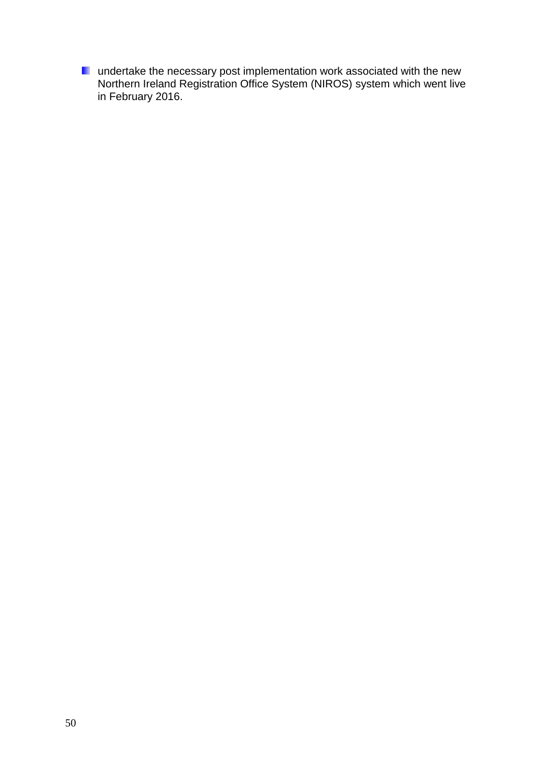undertake the necessary post implementation work associated with the new Northern Ireland Registration Office System (NIROS) system which went live in February 2016.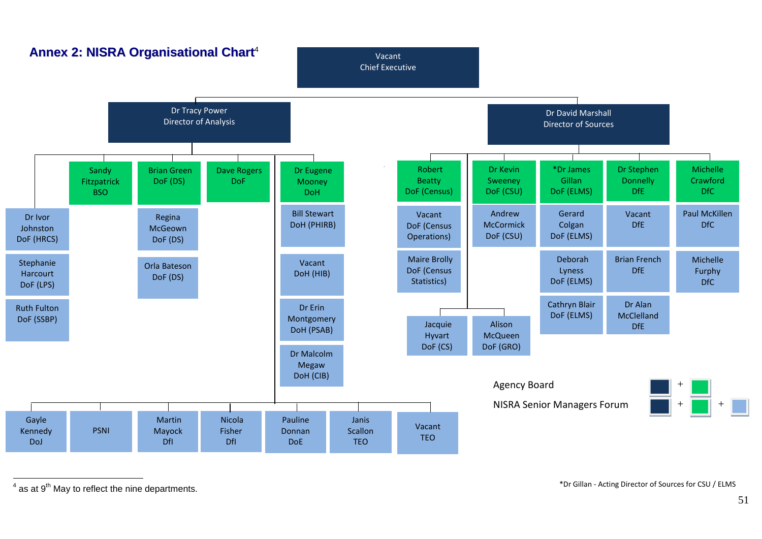

 $\overline{a}$  $4$  as at  $9<sup>th</sup>$  May to reflect the nine departments.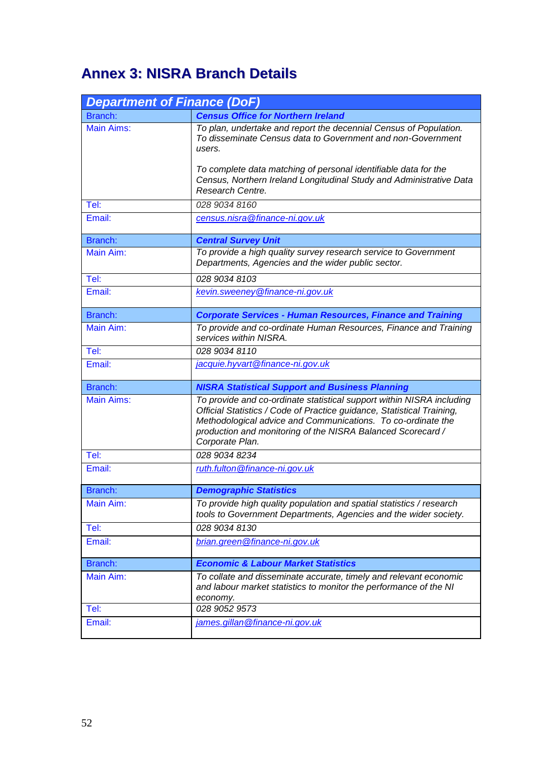# **Annex 3: NISRA Branch Details**

| <b>Department of Finance (DoF)</b> |                                                                                                                                                                                                                                                                                                   |
|------------------------------------|---------------------------------------------------------------------------------------------------------------------------------------------------------------------------------------------------------------------------------------------------------------------------------------------------|
| Branch:                            | <b>Census Office for Northern Ireland</b>                                                                                                                                                                                                                                                         |
| <b>Main Aims:</b>                  | To plan, undertake and report the decennial Census of Population.<br>To disseminate Census data to Government and non-Government<br>users.                                                                                                                                                        |
|                                    | To complete data matching of personal identifiable data for the<br>Census, Northern Ireland Longitudinal Study and Administrative Data<br>Research Centre.                                                                                                                                        |
| Tel:                               | 028 9034 8160                                                                                                                                                                                                                                                                                     |
| Email:                             | census.nisra@finance-ni.gov.uk                                                                                                                                                                                                                                                                    |
| Branch:                            | <b>Central Survey Unit</b>                                                                                                                                                                                                                                                                        |
| Main Aim:                          | To provide a high quality survey research service to Government<br>Departments, Agencies and the wider public sector.                                                                                                                                                                             |
| Tel:                               | 028 9034 8103                                                                                                                                                                                                                                                                                     |
| Email:                             | kevin.sweeney@finance-ni.gov.uk                                                                                                                                                                                                                                                                   |
| Branch:                            | <b>Corporate Services - Human Resources, Finance and Training</b>                                                                                                                                                                                                                                 |
| Main Aim:                          | To provide and co-ordinate Human Resources, Finance and Training<br>services within NISRA.                                                                                                                                                                                                        |
| Tel:                               | 028 9034 8110                                                                                                                                                                                                                                                                                     |
| Email:                             | jacquie.hyvart@finance-ni.gov.uk                                                                                                                                                                                                                                                                  |
| Branch:                            | <b>NISRA Statistical Support and Business Planning</b>                                                                                                                                                                                                                                            |
| <b>Main Aims:</b>                  | To provide and co-ordinate statistical support within NISRA including<br>Official Statistics / Code of Practice guidance, Statistical Training,<br>Methodological advice and Communications. To co-ordinate the<br>production and monitoring of the NISRA Balanced Scorecard /<br>Corporate Plan. |
| Tel:                               | 028 9034 8234                                                                                                                                                                                                                                                                                     |
| Email:                             | ruth.fulton@finance-ni.gov.uk                                                                                                                                                                                                                                                                     |
| Branch:                            | <b>Demographic Statistics</b>                                                                                                                                                                                                                                                                     |
| Main Aim:                          | To provide high quality population and spatial statistics / research<br>tools to Government Departments, Agencies and the wider society.                                                                                                                                                          |
| Tel:                               | 028 9034 8130                                                                                                                                                                                                                                                                                     |
| Email:                             | brian.green@finance-ni.gov.uk                                                                                                                                                                                                                                                                     |
| Branch:                            | <b>Economic &amp; Labour Market Statistics</b>                                                                                                                                                                                                                                                    |
| Main Aim:                          | To collate and disseminate accurate, timely and relevant economic<br>and labour market statistics to monitor the performance of the NI<br>economy.                                                                                                                                                |
| Tel:                               | 028 9052 9573                                                                                                                                                                                                                                                                                     |
| Email:                             | james.gillan@finance-ni.gov.uk                                                                                                                                                                                                                                                                    |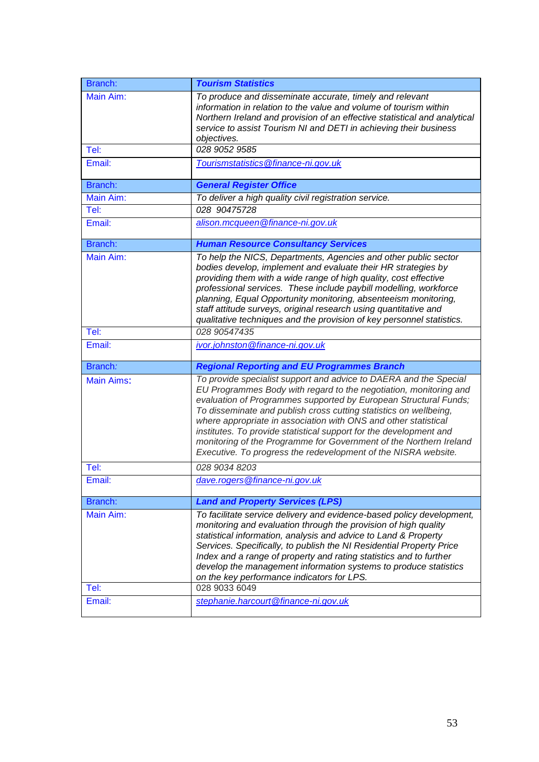| Branch:           | <b>Tourism Statistics</b>                                                                                                                                                                                                                                                                                                                                                                                                                                                                                                                                        |
|-------------------|------------------------------------------------------------------------------------------------------------------------------------------------------------------------------------------------------------------------------------------------------------------------------------------------------------------------------------------------------------------------------------------------------------------------------------------------------------------------------------------------------------------------------------------------------------------|
| Main Aim:         | To produce and disseminate accurate, timely and relevant<br>information in relation to the value and volume of tourism within<br>Northern Ireland and provision of an effective statistical and analytical<br>service to assist Tourism NI and DETI in achieving their business<br>objectives.                                                                                                                                                                                                                                                                   |
| Tel:              | 028 9052 9585                                                                                                                                                                                                                                                                                                                                                                                                                                                                                                                                                    |
| Email:            | Tourismstatistics@finance-ni.gov.uk                                                                                                                                                                                                                                                                                                                                                                                                                                                                                                                              |
| Branch:           | <b>General Register Office</b>                                                                                                                                                                                                                                                                                                                                                                                                                                                                                                                                   |
| Main Aim:         | To deliver a high quality civil registration service.                                                                                                                                                                                                                                                                                                                                                                                                                                                                                                            |
| Tel:              | 028 90475728                                                                                                                                                                                                                                                                                                                                                                                                                                                                                                                                                     |
| Email:            | alison.mcqueen@finance-ni.gov.uk                                                                                                                                                                                                                                                                                                                                                                                                                                                                                                                                 |
| Branch:           | <b>Human Resource Consultancy Services</b>                                                                                                                                                                                                                                                                                                                                                                                                                                                                                                                       |
| Main Aim:         | To help the NICS, Departments, Agencies and other public sector<br>bodies develop, implement and evaluate their HR strategies by<br>providing them with a wide range of high quality, cost effective<br>professional services. These include paybill modelling, workforce<br>planning, Equal Opportunity monitoring, absenteeism monitoring,<br>staff attitude surveys, original research using quantitative and<br>qualitative techniques and the provision of key personnel statistics.                                                                        |
| Tel:              | 028 90547435                                                                                                                                                                                                                                                                                                                                                                                                                                                                                                                                                     |
| Email:            | ivor.johnston@finance-ni.gov.uk                                                                                                                                                                                                                                                                                                                                                                                                                                                                                                                                  |
| Branch:           | <b>Regional Reporting and EU Programmes Branch</b>                                                                                                                                                                                                                                                                                                                                                                                                                                                                                                               |
| <b>Main Aims:</b> | To provide specialist support and advice to DAERA and the Special<br>EU Programmes Body with regard to the negotiation, monitoring and<br>evaluation of Programmes supported by European Structural Funds;<br>To disseminate and publish cross cutting statistics on wellbeing,<br>where appropriate in association with ONS and other statistical<br>institutes. To provide statistical support for the development and<br>monitoring of the Programme for Government of the Northern Ireland<br>Executive. To progress the redevelopment of the NISRA website. |
| Tel:              | 028 9034 8203                                                                                                                                                                                                                                                                                                                                                                                                                                                                                                                                                    |
| Email:            | dave.rogers@finance-ni.gov.uk                                                                                                                                                                                                                                                                                                                                                                                                                                                                                                                                    |
| Branch:           | <b>Land and Property Services (LPS)</b>                                                                                                                                                                                                                                                                                                                                                                                                                                                                                                                          |
| Main Aim:         | To facilitate service delivery and evidence-based policy development,<br>monitoring and evaluation through the provision of high quality<br>statistical information, analysis and advice to Land & Property<br>Services. Specifically, to publish the NI Residential Property Price<br>Index and a range of property and rating statistics and to further<br>develop the management information systems to produce statistics<br>on the key performance indicators for LPS.                                                                                      |
| Tel:              | 028 9033 6049                                                                                                                                                                                                                                                                                                                                                                                                                                                                                                                                                    |
| Email:            | stephanie.harcourt@finance-ni.gov.uk                                                                                                                                                                                                                                                                                                                                                                                                                                                                                                                             |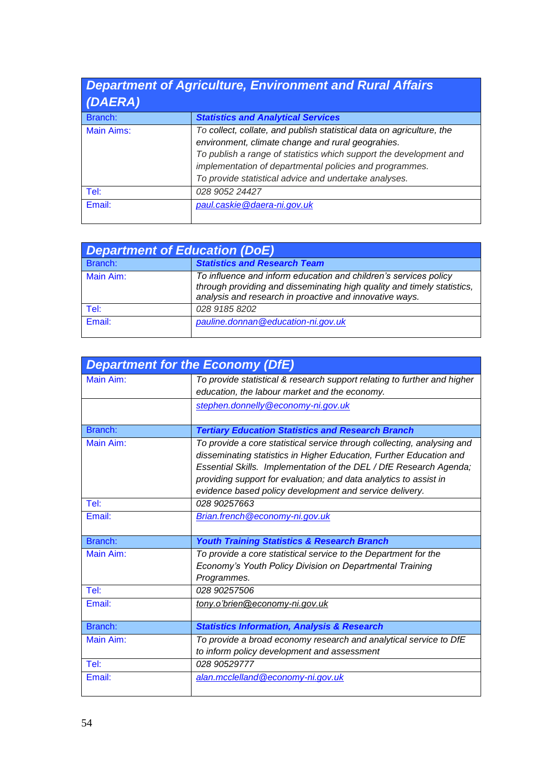| (DAERA)    | <b>Department of Agriculture, Environment and Rural Affairs</b>                                                                                                                                                                                                                                                      |
|------------|----------------------------------------------------------------------------------------------------------------------------------------------------------------------------------------------------------------------------------------------------------------------------------------------------------------------|
| Branch:    | <b>Statistics and Analytical Services</b>                                                                                                                                                                                                                                                                            |
| Main Aims: | To collect, collate, and publish statistical data on agriculture, the<br>environment, climate change and rural geograhies.<br>To publish a range of statistics which support the development and<br>implementation of departmental policies and programmes.<br>To provide statistical advice and undertake analyses. |
| Tel:       | 028 9052 24427                                                                                                                                                                                                                                                                                                       |
| Email:     | paul.caskie@daera-ni.gov.uk                                                                                                                                                                                                                                                                                          |

| Department of Education (DoE) |                                                                                                                                                                                                        |  |
|-------------------------------|--------------------------------------------------------------------------------------------------------------------------------------------------------------------------------------------------------|--|
| Branch:                       | <b>Statistics and Research Team</b>                                                                                                                                                                    |  |
| Main Aim:                     | To influence and inform education and children's services policy<br>through providing and disseminating high quality and timely statistics,<br>analysis and research in proactive and innovative ways. |  |
| Tel:                          | 028 9185 8202                                                                                                                                                                                          |  |
| Email:                        | pauline.donnan@education-ni.gov.uk                                                                                                                                                                     |  |

| <b>Department for the Economy (DfE)</b> |                                                                                                                                                                                                                                                                                                                                                      |
|-----------------------------------------|------------------------------------------------------------------------------------------------------------------------------------------------------------------------------------------------------------------------------------------------------------------------------------------------------------------------------------------------------|
| Main Aim:                               | To provide statistical & research support relating to further and higher<br>education, the labour market and the economy.                                                                                                                                                                                                                            |
|                                         | stephen.donnelly@economy-ni.gov.uk                                                                                                                                                                                                                                                                                                                   |
| Branch:                                 | <b>Tertiary Education Statistics and Research Branch</b>                                                                                                                                                                                                                                                                                             |
| Main Aim:                               | To provide a core statistical service through collecting, analysing and<br>disseminating statistics in Higher Education, Further Education and<br>Essential Skills. Implementation of the DEL / DfE Research Agenda;<br>providing support for evaluation; and data analytics to assist in<br>evidence based policy development and service delivery. |
| Tel:                                    | 028 90257663                                                                                                                                                                                                                                                                                                                                         |
| Email:                                  | Brian.french@economy-ni.gov.uk                                                                                                                                                                                                                                                                                                                       |
| Branch:                                 | <b>Youth Training Statistics &amp; Research Branch</b>                                                                                                                                                                                                                                                                                               |
| Main Aim:                               | To provide a core statistical service to the Department for the<br>Economy's Youth Policy Division on Departmental Training<br>Programmes.                                                                                                                                                                                                           |
| Tel:                                    | 028 90257506                                                                                                                                                                                                                                                                                                                                         |
| Email:                                  | tony.o'brien@economy-ni.gov.uk                                                                                                                                                                                                                                                                                                                       |
| Branch:                                 | <b>Statistics Information, Analysis &amp; Research</b>                                                                                                                                                                                                                                                                                               |
| Main Aim:                               | To provide a broad economy research and analytical service to DfE<br>to inform policy development and assessment                                                                                                                                                                                                                                     |
| Tel:                                    | 028 90529777                                                                                                                                                                                                                                                                                                                                         |
| Email:                                  | alan.mcclelland@economy-ni.gov.uk                                                                                                                                                                                                                                                                                                                    |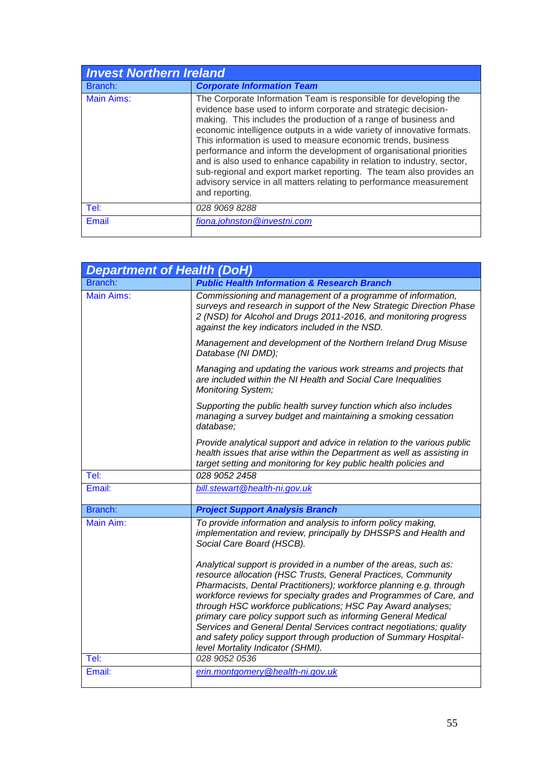| <b>Invest Northern Ireland</b> |                                                                                                                                                                                                                                                                                                                                                                                                                                                                                                                                                                                                                                                                    |
|--------------------------------|--------------------------------------------------------------------------------------------------------------------------------------------------------------------------------------------------------------------------------------------------------------------------------------------------------------------------------------------------------------------------------------------------------------------------------------------------------------------------------------------------------------------------------------------------------------------------------------------------------------------------------------------------------------------|
| Branch:                        | <b>Corporate Information Team</b>                                                                                                                                                                                                                                                                                                                                                                                                                                                                                                                                                                                                                                  |
| <b>Main Aims:</b>              | The Corporate Information Team is responsible for developing the<br>evidence base used to inform corporate and strategic decision-<br>making. This includes the production of a range of business and<br>economic intelligence outputs in a wide variety of innovative formats.<br>This information is used to measure economic trends, business<br>performance and inform the development of organisational priorities<br>and is also used to enhance capability in relation to industry, sector,<br>sub-regional and export market reporting. The team also provides an<br>advisory service in all matters relating to performance measurement<br>and reporting. |
| Tel:                           | 028 9069 8288                                                                                                                                                                                                                                                                                                                                                                                                                                                                                                                                                                                                                                                      |
| Email                          | fiona.johnston@investni.com                                                                                                                                                                                                                                                                                                                                                                                                                                                                                                                                                                                                                                        |

| <b>Department of Health (DoH)</b> |                                                                                                                                                                                                                                                                                                                                                                                                                                                                                                                                                                                                  |
|-----------------------------------|--------------------------------------------------------------------------------------------------------------------------------------------------------------------------------------------------------------------------------------------------------------------------------------------------------------------------------------------------------------------------------------------------------------------------------------------------------------------------------------------------------------------------------------------------------------------------------------------------|
| Branch:                           | <b>Public Health Information &amp; Research Branch</b>                                                                                                                                                                                                                                                                                                                                                                                                                                                                                                                                           |
| <b>Main Aims:</b>                 | Commissioning and management of a programme of information,<br>surveys and research in support of the New Strategic Direction Phase<br>2 (NSD) for Alcohol and Drugs 2011-2016, and monitoring progress<br>against the key indicators included in the NSD.                                                                                                                                                                                                                                                                                                                                       |
|                                   | Management and development of the Northern Ireland Drug Misuse<br>Database (NI DMD);                                                                                                                                                                                                                                                                                                                                                                                                                                                                                                             |
|                                   | Managing and updating the various work streams and projects that<br>are included within the NI Health and Social Care Inequalities<br><b>Monitoring System;</b>                                                                                                                                                                                                                                                                                                                                                                                                                                  |
|                                   | Supporting the public health survey function which also includes<br>managing a survey budget and maintaining a smoking cessation<br>database;                                                                                                                                                                                                                                                                                                                                                                                                                                                    |
|                                   | Provide analytical support and advice in relation to the various public<br>health issues that arise within the Department as well as assisting in<br>target setting and monitoring for key public health policies and                                                                                                                                                                                                                                                                                                                                                                            |
| Tel:                              | 028 9052 2458                                                                                                                                                                                                                                                                                                                                                                                                                                                                                                                                                                                    |
| Email:                            | bill.stewart@health-ni.gov.uk                                                                                                                                                                                                                                                                                                                                                                                                                                                                                                                                                                    |
| Branch:                           | <b>Project Support Analysis Branch</b>                                                                                                                                                                                                                                                                                                                                                                                                                                                                                                                                                           |
| Main Aim:                         | To provide information and analysis to inform policy making,<br>implementation and review, principally by DHSSPS and Health and<br>Social Care Board (HSCB).                                                                                                                                                                                                                                                                                                                                                                                                                                     |
|                                   | Analytical support is provided in a number of the areas, such as:<br>resource allocation (HSC Trusts, General Practices, Community<br>Pharmacists, Dental Practitioners); workforce planning e.g. through<br>workforce reviews for specialty grades and Programmes of Care, and<br>through HSC workforce publications; HSC Pay Award analyses;<br>primary care policy support such as informing General Medical<br>Services and General Dental Services contract negotiations; quality<br>and safety policy support through production of Summary Hospital-<br>level Mortality Indicator (SHMI). |
| Tel:                              | 028 9052 0536                                                                                                                                                                                                                                                                                                                                                                                                                                                                                                                                                                                    |
| Email:                            | erin.montgomery@health-ni.gov.uk                                                                                                                                                                                                                                                                                                                                                                                                                                                                                                                                                                 |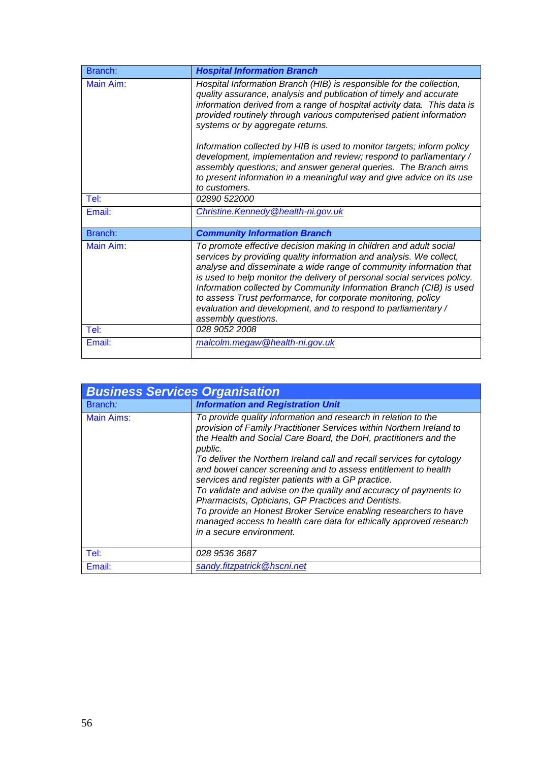| Branch:   | <b>Hospital Information Branch</b>                                                                                                                                                                                                                                                                                                                                                                                                                                                                                         |
|-----------|----------------------------------------------------------------------------------------------------------------------------------------------------------------------------------------------------------------------------------------------------------------------------------------------------------------------------------------------------------------------------------------------------------------------------------------------------------------------------------------------------------------------------|
| Main Aim: | Hospital Information Branch (HIB) is responsible for the collection,<br>quality assurance, analysis and publication of timely and accurate<br>information derived from a range of hospital activity data. This data is<br>provided routinely through various computerised patient information<br>systems or by aggregate returns.                                                                                                                                                                                          |
|           | Information collected by HIB is used to monitor targets; inform policy<br>development, implementation and review; respond to parliamentary /<br>assembly questions; and answer general queries. The Branch aims<br>to present information in a meaningful way and give advice on its use<br>to customers.                                                                                                                                                                                                                  |
| Tel:      | <i>02890 522000</i>                                                                                                                                                                                                                                                                                                                                                                                                                                                                                                        |
| Email:    | Christine. Kennedy @health-ni.gov.uk                                                                                                                                                                                                                                                                                                                                                                                                                                                                                       |
| Branch:   | <b>Community Information Branch</b>                                                                                                                                                                                                                                                                                                                                                                                                                                                                                        |
| Main Aim: | To promote effective decision making in children and adult social<br>services by providing quality information and analysis. We collect,<br>analyse and disseminate a wide range of community information that<br>is used to help monitor the delivery of personal social services policy.<br>Information collected by Community Information Branch (CIB) is used<br>to assess Trust performance, for corporate monitoring, policy<br>evaluation and development, and to respond to parliamentary /<br>assembly questions. |
| Tel:      | 028 9052 2008                                                                                                                                                                                                                                                                                                                                                                                                                                                                                                              |
| Email:    | malcolm.megaw@health-ni.gov.uk                                                                                                                                                                                                                                                                                                                                                                                                                                                                                             |

| <b>Business Services Organisation</b> |                                                                                                                                                                                                                                                                                                                                                                                                                                                                                                                                                                                                                                                                                                                         |
|---------------------------------------|-------------------------------------------------------------------------------------------------------------------------------------------------------------------------------------------------------------------------------------------------------------------------------------------------------------------------------------------------------------------------------------------------------------------------------------------------------------------------------------------------------------------------------------------------------------------------------------------------------------------------------------------------------------------------------------------------------------------------|
| Branch:                               | <b>Information and Registration Unit</b>                                                                                                                                                                                                                                                                                                                                                                                                                                                                                                                                                                                                                                                                                |
| Main Aims:                            | To provide quality information and research in relation to the<br>provision of Family Practitioner Services within Northern Ireland to<br>the Health and Social Care Board, the DoH, practitioners and the<br>public.<br>To deliver the Northern Ireland call and recall services for cytology<br>and bowel cancer screening and to assess entitlement to health<br>services and register patients with a GP practice.<br>To validate and advise on the quality and accuracy of payments to<br>Pharmacists, Opticians, GP Practices and Dentists.<br>To provide an Honest Broker Service enabling researchers to have<br>managed access to health care data for ethically approved research<br>in a secure environment. |
| Tel:                                  | 028 9536 3687                                                                                                                                                                                                                                                                                                                                                                                                                                                                                                                                                                                                                                                                                                           |
| Email:                                | sandy.fitzpatrick@hscni.net                                                                                                                                                                                                                                                                                                                                                                                                                                                                                                                                                                                                                                                                                             |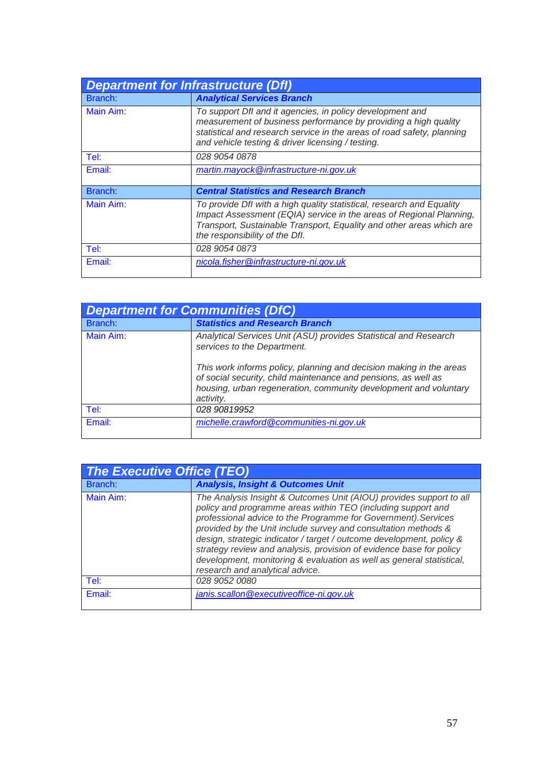| <b>Department for Infrastructure (Dfl)</b> |                                                                                                                                                                                                                                                             |
|--------------------------------------------|-------------------------------------------------------------------------------------------------------------------------------------------------------------------------------------------------------------------------------------------------------------|
| Branch:                                    | <b>Analytical Services Branch</b>                                                                                                                                                                                                                           |
| Main Aim:                                  | To support Dfl and it agencies, in policy development and<br>measurement of business performance by providing a high quality<br>statistical and research service in the areas of road safety, planning<br>and vehicle testing & driver licensing / testing. |
| Tel:                                       | 028 9054 0878                                                                                                                                                                                                                                               |
| Email:                                     | martin.mayock@infrastructure-ni.gov.uk                                                                                                                                                                                                                      |
| Branch:                                    | <b>Central Statistics and Research Branch</b>                                                                                                                                                                                                               |
| Main Aim:                                  | To provide Dfl with a high quality statistical, research and Equality<br>Impact Assessment (EQIA) service in the areas of Regional Planning,<br>Transport, Sustainable Transport, Equality and other areas which are<br>the responsibility of the Dfl.      |
| Tel:                                       | 028 9054 0873                                                                                                                                                                                                                                               |
| Email:                                     | nicola.fisher@infrastructure-ni.gov.uk                                                                                                                                                                                                                      |

| <b>Department for Communities (DfC)</b> |                                                                                                                                                                                                                        |
|-----------------------------------------|------------------------------------------------------------------------------------------------------------------------------------------------------------------------------------------------------------------------|
| Branch:                                 | <b>Statistics and Research Branch</b>                                                                                                                                                                                  |
| Main Aim:                               | Analytical Services Unit (ASU) provides Statistical and Research<br>services to the Department.                                                                                                                        |
|                                         | This work informs policy, planning and decision making in the areas<br>of social security, child maintenance and pensions, as well as<br>housing, urban regeneration, community development and voluntary<br>activity. |
| Tel:                                    | 028 90819952                                                                                                                                                                                                           |
| Email:                                  | michelle.crawford@communities-ni.gov.uk                                                                                                                                                                                |

| The Executive Office (TEO) |                                                                                                                                                                                                                                                                                                                                                                                                                                                                                                                                   |
|----------------------------|-----------------------------------------------------------------------------------------------------------------------------------------------------------------------------------------------------------------------------------------------------------------------------------------------------------------------------------------------------------------------------------------------------------------------------------------------------------------------------------------------------------------------------------|
| Branch:                    | <b>Analysis, Insight &amp; Outcomes Unit</b>                                                                                                                                                                                                                                                                                                                                                                                                                                                                                      |
| Main Aim:                  | The Analysis Insight & Outcomes Unit (AIOU) provides support to all<br>policy and programme areas within TEO (including support and<br>professional advice to the Programme for Government). Services<br>provided by the Unit include survey and consultation methods &<br>design, strategic indicator / target / outcome development, policy &<br>strategy review and analysis, provision of evidence base for policy<br>development, monitoring & evaluation as well as general statistical,<br>research and analytical advice. |
| Tel:                       | 028 9052 0080                                                                                                                                                                                                                                                                                                                                                                                                                                                                                                                     |
| Email:                     | janis.scallon@executiveoffice-ni.gov.uk                                                                                                                                                                                                                                                                                                                                                                                                                                                                                           |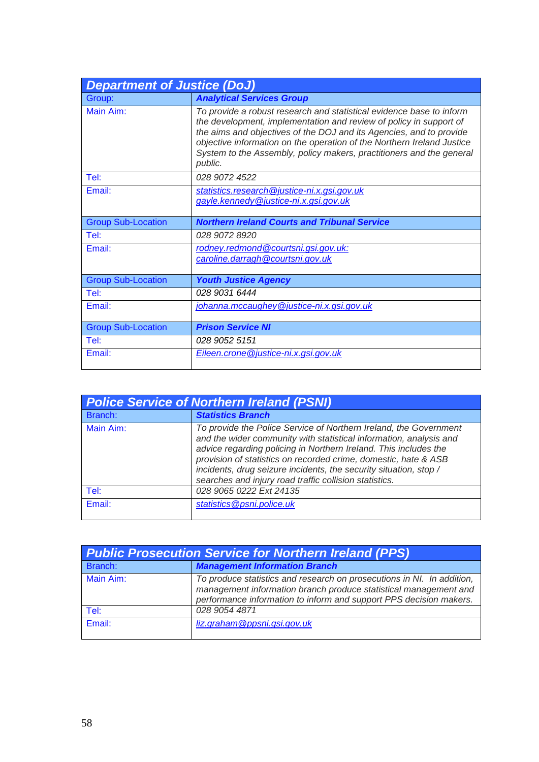| <b>Department of Justice (DoJ)</b> |                                                                                                                                                                                                                                                                                                                                                                                |
|------------------------------------|--------------------------------------------------------------------------------------------------------------------------------------------------------------------------------------------------------------------------------------------------------------------------------------------------------------------------------------------------------------------------------|
| Group:                             | <b>Analytical Services Group</b>                                                                                                                                                                                                                                                                                                                                               |
| Main Aim:                          | To provide a robust research and statistical evidence base to inform<br>the development, implementation and review of policy in support of<br>the aims and objectives of the DOJ and its Agencies, and to provide<br>objective information on the operation of the Northern Ireland Justice<br>System to the Assembly, policy makers, practitioners and the general<br>public. |
| Tel:                               | 028 9072 4522                                                                                                                                                                                                                                                                                                                                                                  |
| Email:                             | statistics.research@justice-ni.x.gsi.gov.uk<br>gayle.kennedy@justice-ni.x.gsi.gov.uk                                                                                                                                                                                                                                                                                           |
| <b>Group Sub-Location</b>          | <b>Northern Ireland Courts and Tribunal Service</b>                                                                                                                                                                                                                                                                                                                            |
| Tel:                               | 028 9072 8920                                                                                                                                                                                                                                                                                                                                                                  |
| Email:                             | rodney.redmond@courtsni.gsi.gov.uk:<br>caroline.darragh @courtsni.gov.uk                                                                                                                                                                                                                                                                                                       |
| <b>Group Sub-Location</b>          | <b>Youth Justice Agency</b>                                                                                                                                                                                                                                                                                                                                                    |
| Tel:                               | 028 9031 6444                                                                                                                                                                                                                                                                                                                                                                  |
| Email:                             | johanna.mccaughey@justice-ni.x.gsi.gov.uk                                                                                                                                                                                                                                                                                                                                      |
| <b>Group Sub-Location</b>          | <b>Prison Service NI</b>                                                                                                                                                                                                                                                                                                                                                       |
| Tel:                               | 028 9052 5151                                                                                                                                                                                                                                                                                                                                                                  |
| Email:                             | Eileen.crone@justice-ni.x.gsi.gov.uk                                                                                                                                                                                                                                                                                                                                           |

| <b>Police Service of Northern Ireland (PSNI)</b> |                                                                                                                                                                                                                                                                                                                                                                                                               |
|--------------------------------------------------|---------------------------------------------------------------------------------------------------------------------------------------------------------------------------------------------------------------------------------------------------------------------------------------------------------------------------------------------------------------------------------------------------------------|
| Branch:                                          | <b>Statistics Branch</b>                                                                                                                                                                                                                                                                                                                                                                                      |
| Main Aim:                                        | To provide the Police Service of Northern Ireland, the Government<br>and the wider community with statistical information, analysis and<br>advice regarding policing in Northern Ireland. This includes the<br>provision of statistics on recorded crime, domestic, hate & ASB<br>incidents, drug seizure incidents, the security situation, stop /<br>searches and injury road traffic collision statistics. |
| Tel:                                             | 028 9065 0222 Ext 24135                                                                                                                                                                                                                                                                                                                                                                                       |
| Email:                                           | statistics@psni.police.uk                                                                                                                                                                                                                                                                                                                                                                                     |

| <b>Public Prosecution Service for Northern Ireland (PPS)</b> |                                                                                                                                                                                                                  |
|--------------------------------------------------------------|------------------------------------------------------------------------------------------------------------------------------------------------------------------------------------------------------------------|
| Branch:                                                      | <b>Management Information Branch</b>                                                                                                                                                                             |
| Main Aim:                                                    | To produce statistics and research on prosecutions in NI. In addition,<br>management information branch produce statistical management and<br>performance information to inform and support PPS decision makers. |
| Tel:                                                         | 028 9054 4871                                                                                                                                                                                                    |
| Email:                                                       | liz.graham@ppsni.gsi.gov.uk                                                                                                                                                                                      |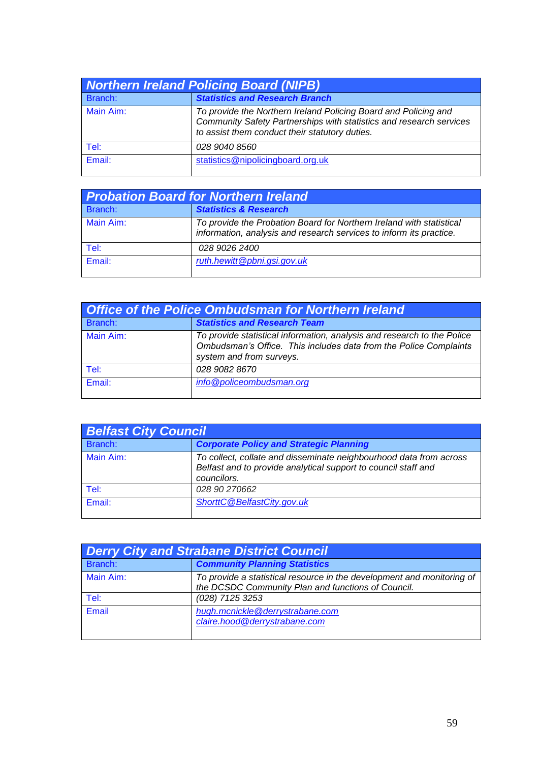| <b>Northern Ireland Policing Board (NIPB)</b> |                                                                                                                                                                                          |
|-----------------------------------------------|------------------------------------------------------------------------------------------------------------------------------------------------------------------------------------------|
| Branch:                                       | <b>Statistics and Research Branch</b>                                                                                                                                                    |
| Main Aim:                                     | To provide the Northern Ireland Policing Board and Policing and<br>Community Safety Partnerships with statistics and research services<br>to assist them conduct their statutory duties. |
| Tel:                                          | 028 9040 8560                                                                                                                                                                            |
| Email:                                        | statistics@nipolicingboard.org.uk                                                                                                                                                        |

| <b>Probation Board for Northern Ireland</b> |                                                                                                                                             |
|---------------------------------------------|---------------------------------------------------------------------------------------------------------------------------------------------|
| Branch:                                     | <b>Statistics &amp; Research</b>                                                                                                            |
| Main Aim:                                   | To provide the Probation Board for Northern Ireland with statistical<br>information, analysis and research services to inform its practice. |
| Tel:                                        | 028 9026 2400                                                                                                                               |
| Email:                                      | ruth.hewitt@pbni.gsi.gov.uk                                                                                                                 |

| <b>Office of the Police Ombudsman for Northern Ireland</b> |                                                                                                                                                                          |
|------------------------------------------------------------|--------------------------------------------------------------------------------------------------------------------------------------------------------------------------|
| Branch:                                                    | <b>Statistics and Research Team</b>                                                                                                                                      |
| Main Aim:                                                  | To provide statistical information, analysis and research to the Police<br>Ombudsman's Office. This includes data from the Police Complaints<br>system and from surveys. |
| Tel:                                                       | 028 9082 8670                                                                                                                                                            |
| Email:                                                     | info@policeombudsman.org                                                                                                                                                 |

| <b>Belfast City Council</b> |                                                                                                                                                     |
|-----------------------------|-----------------------------------------------------------------------------------------------------------------------------------------------------|
| Branch:                     | <b>Corporate Policy and Strategic Planning</b>                                                                                                      |
| Main Aim:                   | To collect, collate and disseminate neighbourhood data from across<br>Belfast and to provide analytical support to council staff and<br>councilors. |
| Tel:                        | 028 90 270662                                                                                                                                       |
| Email:                      | ShorttC@BelfastCity.gov.uk                                                                                                                          |

| <b>Derry City and Strabane District Council</b> |                                                                                                                              |
|-------------------------------------------------|------------------------------------------------------------------------------------------------------------------------------|
| Branch:                                         | <b>Community Planning Statistics</b>                                                                                         |
| Main Aim:                                       | To provide a statistical resource in the development and monitoring of<br>the DCSDC Community Plan and functions of Council. |
| Tel:                                            | (028) 7125 3253                                                                                                              |
| Email                                           | hugh.mcnickle@derrystrabane.com<br>claire.hood@derrystrabane.com                                                             |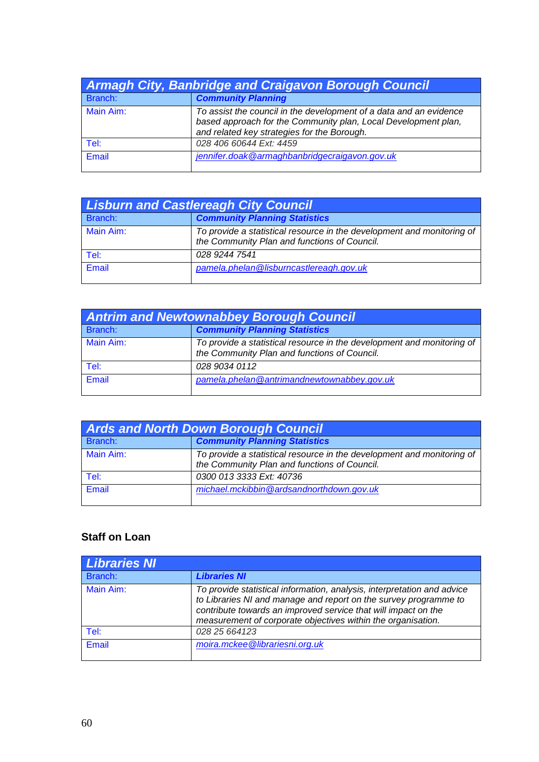| <b>Armagh City, Banbridge and Craigavon Borough Council</b> |                                                                                                                                                                                     |
|-------------------------------------------------------------|-------------------------------------------------------------------------------------------------------------------------------------------------------------------------------------|
| Branch:                                                     | <b>Community Planning</b>                                                                                                                                                           |
| Main Aim:                                                   | To assist the council in the development of a data and an evidence<br>based approach for the Community plan, Local Development plan,<br>and related key strategies for the Borough. |
| Tel:                                                        | 028 406 60644 Ext: 4459                                                                                                                                                             |
| Email                                                       | jennifer.doak@armaghbanbridgecraigavon.gov.uk                                                                                                                                       |

| <b>Lisburn and Castlereagh City Council</b> |                                                                                                                        |
|---------------------------------------------|------------------------------------------------------------------------------------------------------------------------|
| Branch:                                     | <b>Community Planning Statistics</b>                                                                                   |
| Main Aim:                                   | To provide a statistical resource in the development and monitoring of<br>the Community Plan and functions of Council. |
| Tel:                                        | 028 9244 7541                                                                                                          |
| Email                                       | pamela.phelan@lisburncastlereagh.gov.uk                                                                                |

| <b>Antrim and Newtownabbey Borough Council</b> |                                                                                                                        |
|------------------------------------------------|------------------------------------------------------------------------------------------------------------------------|
| Branch:                                        | <b>Community Planning Statistics</b>                                                                                   |
| Main Aim:                                      | To provide a statistical resource in the development and monitoring of<br>the Community Plan and functions of Council. |
| Tel:                                           | 028 9034 0112                                                                                                          |
| Email                                          | pamela.phelan@antrimandnewtownabbey.gov.uk                                                                             |

| <b>Ards and North Down Borough Council</b> |                                                                                                                        |
|--------------------------------------------|------------------------------------------------------------------------------------------------------------------------|
| Branch:                                    | <b>Community Planning Statistics</b>                                                                                   |
| Main Aim:                                  | To provide a statistical resource in the development and monitoring of<br>the Community Plan and functions of Council. |
| Tel:                                       | 0300 013 3333 Ext: 40736                                                                                               |
| Email                                      | michael.mckibbin@ardsandnorthdown.gov.uk                                                                               |

### **Staff on Loan**

| <b>Libraries NI</b> |                                                                                                                                                                                                                                                                               |
|---------------------|-------------------------------------------------------------------------------------------------------------------------------------------------------------------------------------------------------------------------------------------------------------------------------|
| Branch:             | <b>Libraries NI</b>                                                                                                                                                                                                                                                           |
| Main Aim:           | To provide statistical information, analysis, interpretation and advice<br>to Libraries NI and manage and report on the survey programme to<br>contribute towards an improved service that will impact on the<br>measurement of corporate objectives within the organisation. |
| Tel:                | 028 25 664123                                                                                                                                                                                                                                                                 |
| Email               | moira.mckee@librariesni.org.uk                                                                                                                                                                                                                                                |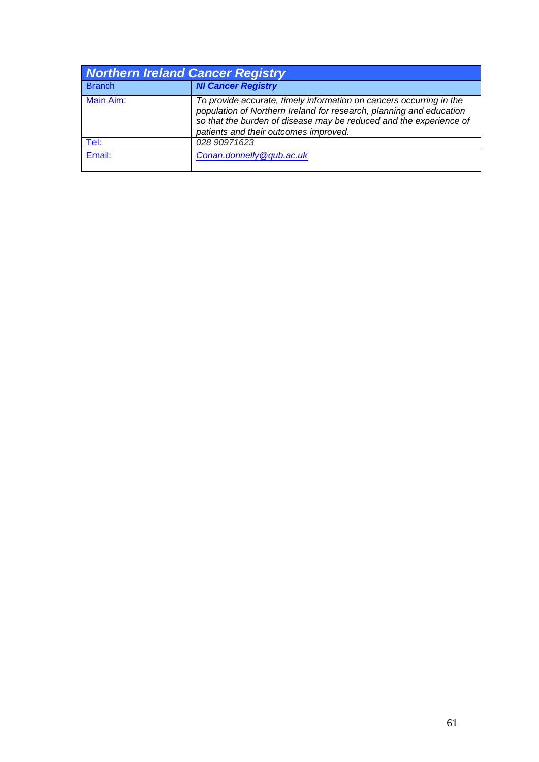| <b>Northern Ireland Cancer Registry</b> |                                                                                                                                                                                                                                                           |
|-----------------------------------------|-----------------------------------------------------------------------------------------------------------------------------------------------------------------------------------------------------------------------------------------------------------|
| <b>Branch</b>                           | <b>NI Cancer Registry</b>                                                                                                                                                                                                                                 |
| Main Aim:                               | To provide accurate, timely information on cancers occurring in the<br>population of Northern Ireland for research, planning and education<br>so that the burden of disease may be reduced and the experience of<br>patients and their outcomes improved. |
| Tel:                                    | 028 90971623                                                                                                                                                                                                                                              |
| Email:                                  | Conan.donnelly@qub.ac.uk                                                                                                                                                                                                                                  |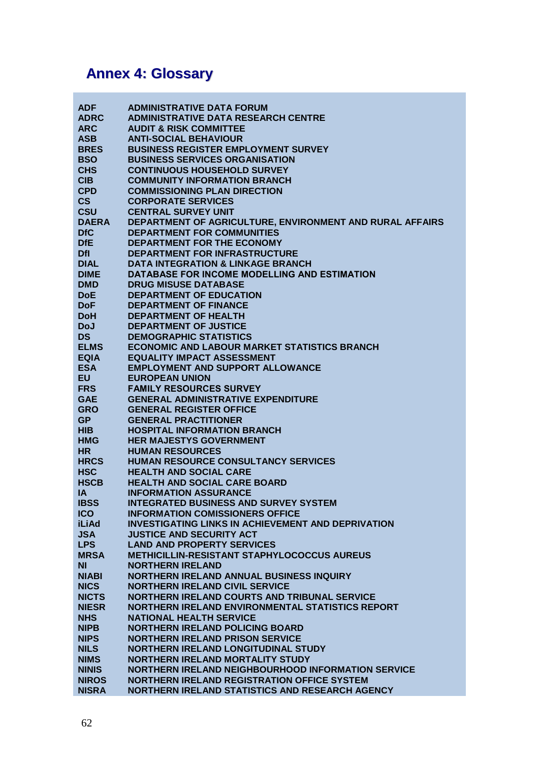# **Annex 4: Glossary**

| <b>ADF</b>   | <b>ADMINISTRATIVE DATA FORUM</b>                          |
|--------------|-----------------------------------------------------------|
| <b>ADRC</b>  | <b>ADMINISTRATIVE DATA RESEARCH CENTRE</b>                |
| <b>ARC</b>   | <b>AUDIT &amp; RISK COMMITTEE</b>                         |
|              |                                                           |
| <b>ASB</b>   | <b>ANTI-SOCIAL BEHAVIOUR</b>                              |
| <b>BRES</b>  | <b>BUSINESS REGISTER EMPLOYMENT SURVEY</b>                |
| <b>BSO</b>   | <b>BUSINESS SERVICES ORGANISATION</b>                     |
| <b>CHS</b>   | <b>CONTINUOUS HOUSEHOLD SURVEY</b>                        |
| <b>CIB</b>   | <b>COMMUNITY INFORMATION BRANCH</b>                       |
| <b>CPD</b>   | <b>COMMISSIONING PLAN DIRECTION</b>                       |
| CS           | <b>CORPORATE SERVICES</b>                                 |
| <b>CSU</b>   | <b>CENTRAL SURVEY UNIT</b>                                |
| <b>DAERA</b> | DEPARTMENT OF AGRICULTURE, ENVIRONMENT AND RURAL AFFAIRS  |
| <b>DfC</b>   | <b>DEPARTMENT FOR COMMUNITIES</b>                         |
| <b>DfE</b>   | DEPARTMENT FOR THE ECONOMY                                |
| <b>Dfl</b>   | <b>DEPARTMENT FOR INFRASTRUCTURE</b>                      |
| <b>DIAL</b>  | <b>DATA INTEGRATION &amp; LINKAGE BRANCH</b>              |
| <b>DIME</b>  | DATABASE FOR INCOME MODELLING AND ESTIMATION              |
| <b>DMD</b>   | <b>DRUG MISUSE DATABASE</b>                               |
| <b>DoE</b>   | <b>DEPARTMENT OF EDUCATION</b>                            |
|              |                                                           |
| DoF          | <b>DEPARTMENT OF FINANCE</b>                              |
| <b>DoH</b>   | <b>DEPARTMENT OF HEALTH</b>                               |
| <b>DoJ</b>   | <b>DEPARTMENT OF JUSTICE</b>                              |
| <b>DS</b>    | <b>DEMOGRAPHIC STATISTICS</b>                             |
| <b>ELMS</b>  | <b>ECONOMIC AND LABOUR MARKET STATISTICS BRANCH</b>       |
| <b>EQIA</b>  | <b>EQUALITY IMPACT ASSESSMENT</b>                         |
| <b>ESA</b>   | <b>EMPLOYMENT AND SUPPORT ALLOWANCE</b>                   |
| <b>EU</b>    | <b>EUROPEAN UNION</b>                                     |
| <b>FRS</b>   | <b>FAMILY RESOURCES SURVEY</b>                            |
| <b>GAE</b>   | <b>GENERAL ADMINISTRATIVE EXPENDITURE</b>                 |
| <b>GRO</b>   | <b>GENERAL REGISTER OFFICE</b>                            |
| <b>GP</b>    | <b>GENERAL PRACTITIONER</b>                               |
| <b>HIB</b>   | <b>HOSPITAL INFORMATION BRANCH</b>                        |
| <b>HMG</b>   | <b>HER MAJESTYS GOVERNMENT</b>                            |
| <b>HR</b>    | <b>HUMAN RESOURCES</b>                                    |
| <b>HRCS</b>  | <b>HUMAN RESOURCE CONSULTANCY SERVICES</b>                |
| <b>HSC</b>   | <b>HEALTH AND SOCIAL CARE</b>                             |
| <b>HSCB</b>  | <b>HEALTH AND SOCIAL CARE BOARD</b>                       |
| IA.          | <b>INFORMATION ASSURANCE</b>                              |
| <b>IBSS</b>  | <b>INTEGRATED BUSINESS AND SURVEY SYSTEM</b>              |
| <b>ICO</b>   | <b>INFORMATION COMISSIONERS OFFICE</b>                    |
| <b>iLiAd</b> | <b>INVESTIGATING LINKS IN ACHIEVEMENT AND DEPRIVATION</b> |
| <b>JSA</b>   | <b>JUSTICE AND SECURITY ACT</b>                           |
| <b>LPS</b>   | <b>LAND AND PROPERTY SERVICES</b>                         |
| <b>MRSA</b>  | <b>METHICILLIN-RESISTANT STAPHYLOCOCCUS AUREUS</b>        |
| <b>NI</b>    | <b>NORTHERN IRELAND</b>                                   |
| <b>NIABI</b> | NORTHERN IRELAND ANNUAL BUSINESS INQUIRY                  |
|              |                                                           |
| <b>NICS</b>  | <b>NORTHERN IRELAND CIVIL SERVICE</b>                     |
| <b>NICTS</b> | NORTHERN IRELAND COURTS AND TRIBUNAL SERVICE              |
| <b>NIESR</b> | NORTHERN IRELAND ENVIRONMENTAL STATISTICS REPORT          |
| <b>NHS</b>   | <b>NATIONAL HEALTH SERVICE</b>                            |
| <b>NIPB</b>  | <b>NORTHERN IRELAND POLICING BOARD</b>                    |
| <b>NIPS</b>  | <b>NORTHERN IRELAND PRISON SERVICE</b>                    |
| <b>NILS</b>  | NORTHERN IRELAND LONGITUDINAL STUDY                       |
| <b>NIMS</b>  | <b>NORTHERN IRELAND MORTALITY STUDY</b>                   |
| <b>NINIS</b> | <b>NORTHERN IRELAND NEIGHBOURHOOD INFORMATION SERVICE</b> |
| <b>NIROS</b> | <b>NORTHERN IRELAND REGISTRATION OFFICE SYSTEM</b>        |
| <b>NISRA</b> | NORTHERN IRELAND STATISTICS AND RESEARCH AGENCY           |
|              |                                                           |